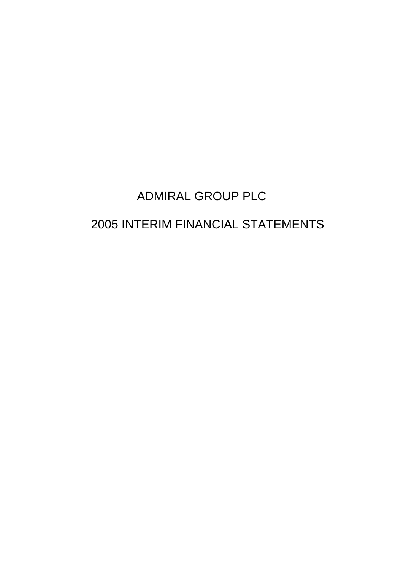# ADMIRAL GROUP PLC

# 2005 INTERIM FINANCIAL STATEMENTS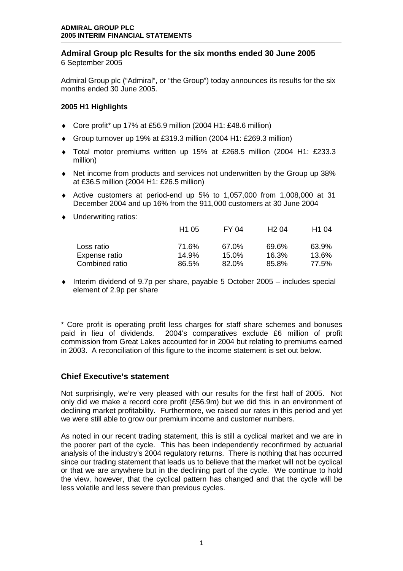# **Admiral Group plc Results for the six months ended 30 June 2005**  6 September 2005

Admiral Group plc ("Admiral", or "the Group") today announces its results for the six months ended 30 June 2005.

# **2005 H1 Highlights**

- ♦ Core profit\* up 17% at £56.9 million (2004 H1: £48.6 million)
- ♦ Group turnover up 19% at £319.3 million (2004 H1: £269.3 million)
- ♦ Total motor premiums written up 15% at £268.5 million (2004 H1: £233.3 million)
- ♦ Net income from products and services not underwritten by the Group up 38% at £36.5 million (2004 H1: £26.5 million)
- ♦ Active customers at period-end up 5% to 1,057,000 from 1,008,000 at 31 December 2004 and up 16% from the 911,000 customers at 30 June 2004
- ♦ Underwriting ratios:

|                | H <sub>1</sub> 05 | FY 04    | H204  | H <sub>1</sub> 04 |
|----------------|-------------------|----------|-------|-------------------|
| Loss ratio     | 71.6%             | 67.0%    | 69.6% | 63.9%             |
| Expense ratio  | 14.9%             | $15.0\%$ | 16.3% | 13.6%             |
| Combined ratio | 86.5%             | $82.0\%$ | 85.8% | 77.5%             |

 $\bullet$  Interim dividend of 9.7p per share, payable 5 October 2005 – includes special element of 2.9p per share

\* Core profit is operating profit less charges for staff share schemes and bonuses paid in lieu of dividends. 2004's comparatives exclude £6 million of profit commission from Great Lakes accounted for in 2004 but relating to premiums earned in 2003. A reconciliation of this figure to the income statement is set out below.

# **Chief Executive's statement**

Not surprisingly, we're very pleased with our results for the first half of 2005. Not only did we make a record core profit (£56.9m) but we did this in an environment of declining market profitability. Furthermore, we raised our rates in this period and yet we were still able to grow our premium income and customer numbers.

As noted in our recent trading statement, this is still a cyclical market and we are in the poorer part of the cycle. This has been independently reconfirmed by actuarial analysis of the industry's 2004 regulatory returns. There is nothing that has occurred since our trading statement that leads us to believe that the market will not be cyclical or that we are anywhere but in the declining part of the cycle. We continue to hold the view, however, that the cyclical pattern has changed and that the cycle will be less volatile and less severe than previous cycles.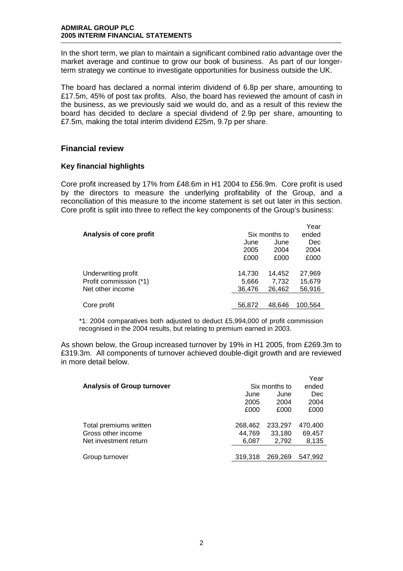In the short term, we plan to maintain a significant combined ratio advantage over the market average and continue to grow our book of business. As part of our longerterm strategy we continue to investigate opportunities for business outside the UK.

The board has declared a normal interim dividend of 6.8p per share, amounting to £17.5m, 45% of post tax profits. Also, the board has reviewed the amount of cash in the business, as we previously said we would do, and as a result of this review the board has decided to declare a special dividend of 2.9p per share, amounting to £7.5m, making the total interim dividend £25m, 9.7p per share.

# **Financial review**

# **Key financial highlights**

Core profit increased by 17% from £48.6m in H1 2004 to £56.9m. Core profit is used by the directors to measure the underlying profitability of the Group, and a reconciliation of this measure to the income statement is set out later in this section. Core profit is split into three to reflect the key components of the Group's business:

|                         |        |               | Year    |
|-------------------------|--------|---------------|---------|
| Analysis of core profit |        | Six months to | ended   |
|                         | June   | June          | Dec     |
|                         | 2005   | 2004          | 2004    |
|                         | £000   | £000          | £000    |
| Underwriting profit     | 14,730 | 14,452        | 27,969  |
| Profit commission (*1)  | 5,666  | 7,732         | 15,679  |
| Net other income        | 36,476 | 26,462        | 56,916  |
|                         |        |               |         |
| Core profit             | 56,872 | 48.646        | 100,564 |

\*1: 2004 comparatives both adjusted to deduct £5,994,000 of profit commission recognised in the 2004 results, but relating to premium earned in 2003.

As shown below, the Group increased turnover by 19% in H1 2005, from £269.3m to £319.3m. All components of turnover achieved double-digit growth and are reviewed in more detail below.

|                                   |         |               | Year       |
|-----------------------------------|---------|---------------|------------|
| <b>Analysis of Group turnover</b> |         | Six months to | ended      |
|                                   | June    | June          | <b>Dec</b> |
|                                   | 2005    | 2004          | 2004       |
|                                   | £000    | £000          | £000       |
|                                   |         |               |            |
| Total premiums written            | 268,462 | 233,297       | 470,400    |
| Gross other income                | 44.769  | 33,180        | 69,457     |
| Net investment return             | 6,087   | 2,792         | 8,135      |
|                                   |         |               |            |
| Group turnover                    | 319.318 | 269.269       | 547.992    |
|                                   |         |               |            |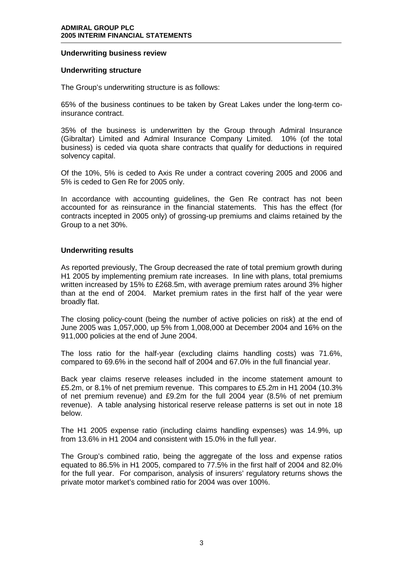## **Underwriting business review**

#### **Underwriting structure**

The Group's underwriting structure is as follows:

65% of the business continues to be taken by Great Lakes under the long-term coinsurance contract.

35% of the business is underwritten by the Group through Admiral Insurance (Gibraltar) Limited and Admiral Insurance Company Limited. 10% (of the total business) is ceded via quota share contracts that qualify for deductions in required solvency capital.

Of the 10%, 5% is ceded to Axis Re under a contract covering 2005 and 2006 and 5% is ceded to Gen Re for 2005 only.

In accordance with accounting guidelines, the Gen Re contract has not been accounted for as reinsurance in the financial statements. This has the effect (for contracts incepted in 2005 only) of grossing-up premiums and claims retained by the Group to a net 30%.

## **Underwriting results**

As reported previously, The Group decreased the rate of total premium growth during H1 2005 by implementing premium rate increases. In line with plans, total premiums written increased by 15% to £268.5m, with average premium rates around 3% higher than at the end of 2004. Market premium rates in the first half of the year were broadly flat.

The closing policy-count (being the number of active policies on risk) at the end of June 2005 was 1,057,000, up 5% from 1,008,000 at December 2004 and 16% on the 911,000 policies at the end of June 2004.

The loss ratio for the half-year (excluding claims handling costs) was 71.6%, compared to 69.6% in the second half of 2004 and 67.0% in the full financial year.

Back year claims reserve releases included in the income statement amount to £5.2m, or 8.1% of net premium revenue. This compares to £5.2m in H1 2004 (10.3% of net premium revenue) and £9.2m for the full 2004 year (8.5% of net premium revenue). A table analysing historical reserve release patterns is set out in note 18 below.

The H1 2005 expense ratio (including claims handling expenses) was 14.9%, up from 13.6% in H1 2004 and consistent with 15.0% in the full year.

The Group's combined ratio, being the aggregate of the loss and expense ratios equated to 86.5% in H1 2005, compared to 77.5% in the first half of 2004 and 82.0% for the full year. For comparison, analysis of insurers' regulatory returns shows the private motor market's combined ratio for 2004 was over 100%.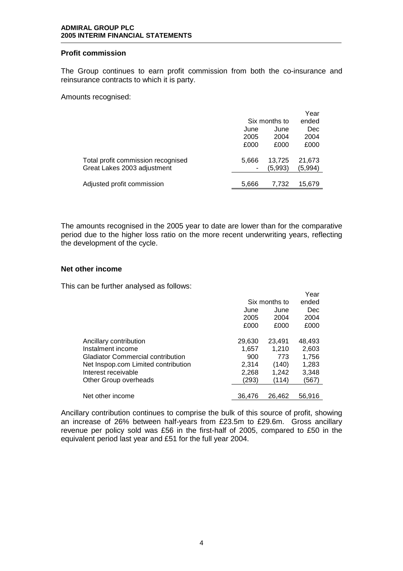## **Profit commission**

The Group continues to earn profit commission from both the co-insurance and reinsurance contracts to which it is party.

Amounts recognised:

|                                    |       |               | Year    |
|------------------------------------|-------|---------------|---------|
|                                    |       | Six months to | ended   |
|                                    | June  | June          | Dec     |
|                                    | 2005  | 2004          | 2004    |
|                                    | £000  | £000          | £000    |
| Total profit commission recognised | 5.666 | 13,725        | 21,673  |
| Great Lakes 2003 adjustment        |       | (5,993)       | (5,994) |
| Adjusted profit commission         | 5,666 | 7.732         | 15,679  |

The amounts recognised in the 2005 year to date are lower than for the comparative period due to the higher loss ratio on the more recent underwriting years, reflecting the development of the cycle.

 $\mathbf{y}$ 

## **Net other income**

This can be further analysed as follows:

|                                          |        |               | r ear  |
|------------------------------------------|--------|---------------|--------|
|                                          |        | Six months to | ended  |
|                                          | June   | June          | Dec    |
|                                          | 2005   | 2004          | 2004   |
|                                          | £000   | £000          | £000   |
|                                          |        |               |        |
| Ancillary contribution                   | 29,630 | 23,491        | 48,493 |
| Instalment income                        | 1,657  | 1,210         | 2,603  |
| <b>Gladiator Commercial contribution</b> | 900    | 773           | 1,756  |
| Net Inspop.com Limited contribution      | 2,314  | (140)         | 1,283  |
| Interest receivable                      | 2,268  | 1,242         | 3,348  |
| Other Group overheads                    | (293)  | (114)         | (567)  |
|                                          |        |               |        |
| Net other income                         | 36.476 | 26.462        | 56.916 |

Ancillary contribution continues to comprise the bulk of this source of profit, showing an increase of 26% between half-years from £23.5m to £29.6m. Gross ancillary revenue per policy sold was £56 in the first-half of 2005, compared to £50 in the equivalent period last year and £51 for the full year 2004.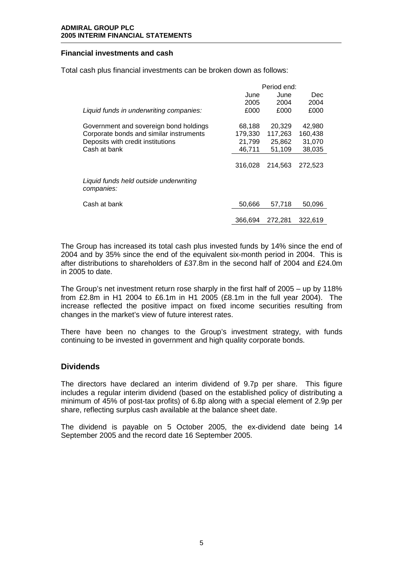# **Financial investments and cash**

Total cash plus financial investments can be broken down as follows:

|                                                      | Period end: |         |         |
|------------------------------------------------------|-------------|---------|---------|
|                                                      | June        | June    | Dec     |
|                                                      | 2005        | 2004    | 2004    |
| Liquid funds in underwriting companies:              | £000        | £000    | £000    |
| Government and sovereign bond holdings               | 68,188      | 20,329  | 42,980  |
| Corporate bonds and similar instruments              | 179,330     | 117,263 | 160,438 |
| Deposits with credit institutions                    | 21,799      | 25,862  | 31,070  |
| Cash at bank                                         | 46.711      | 51,109  | 38,035  |
|                                                      | 316.028     | 214.563 | 272,523 |
| Liquid funds held outside underwriting<br>companies: |             |         |         |
| Cash at bank                                         | 50,666      | 57.718  | 50,096  |
|                                                      | 366.694     | 272.281 | 322.619 |

The Group has increased its total cash plus invested funds by 14% since the end of 2004 and by 35% since the end of the equivalent six-month period in 2004. This is after distributions to shareholders of £37.8m in the second half of 2004 and £24.0m in 2005 to date.

The Group's net investment return rose sharply in the first half of 2005 – up by 118% from £2.8m in H1 2004 to £6.1m in H1 2005 (£8.1m in the full year 2004). The increase reflected the positive impact on fixed income securities resulting from changes in the market's view of future interest rates.

There have been no changes to the Group's investment strategy, with funds continuing to be invested in government and high quality corporate bonds.

# **Dividends**

The directors have declared an interim dividend of 9.7p per share. This figure includes a regular interim dividend (based on the established policy of distributing a minimum of 45% of post-tax profits) of 6.8p along with a special element of 2.9p per share, reflecting surplus cash available at the balance sheet date.

The dividend is payable on 5 October 2005, the ex-dividend date being 14 September 2005 and the record date 16 September 2005.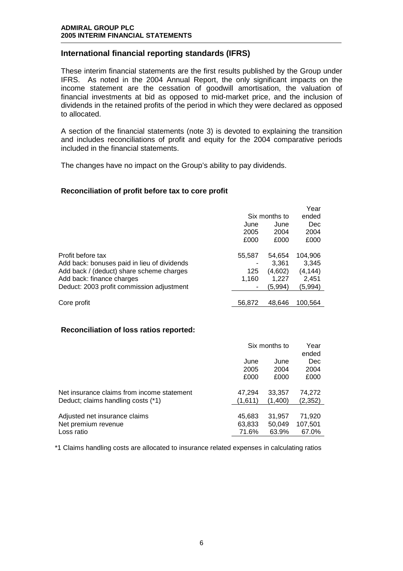# **International financial reporting standards (IFRS)**

These interim financial statements are the first results published by the Group under IFRS. As noted in the 2004 Annual Report, the only significant impacts on the income statement are the cessation of goodwill amortisation, the valuation of financial investments at bid as opposed to mid-market price, and the inclusion of dividends in the retained profits of the period in which they were declared as opposed to allocated.

A section of the financial statements (note 3) is devoted to explaining the transition and includes reconciliations of profit and equity for the 2004 comparative periods included in the financial statements.

The changes have no impact on the Group's ability to pay dividends.

# **Reconciliation of profit before tax to core profit**

|                                             |               |         | Year    |
|---------------------------------------------|---------------|---------|---------|
|                                             | Six months to |         | ended   |
|                                             | June          | June    | Dec     |
|                                             | 2005          | 2004    | 2004    |
|                                             | £000          | £000    | £000    |
| Profit before tax                           | 55,587        | 54,654  | 104,906 |
| Add back: bonuses paid in lieu of dividends |               | 3.361   | 3.345   |
| Add back / (deduct) share scheme charges    | 125           | (4,602) | (4,144) |
| Add back: finance charges                   | 1,160         | 1,227   | 2,451   |
| Deduct: 2003 profit commission adjustment   |               | (5,994) | (5,994) |
|                                             |               |         |         |
| Core profit                                 | 56,872        | 48.646  | 100.564 |

# **Reconciliation of loss ratios reported:**

|                                            | Six months to | Year<br>ended |         |
|--------------------------------------------|---------------|---------------|---------|
|                                            | June          | June          | Dec     |
|                                            | 2005          | 2004          | 2004    |
|                                            | £000          | £000          | £000    |
| Net insurance claims from income statement | 47.294        | 33,357        | 74,272  |
| Deduct; claims handling costs (*1)         | (1,611)       | (1,400)       | (2,352) |
| Adjusted net insurance claims              | 45,683        | 31,957        | 71,920  |
| Net premium revenue                        | 63,833        | 50.049        | 107,501 |
| Loss ratio                                 | 71.6%         | 63.9%         | 67.0%   |

\*1 Claims handling costs are allocated to insurance related expenses in calculating ratios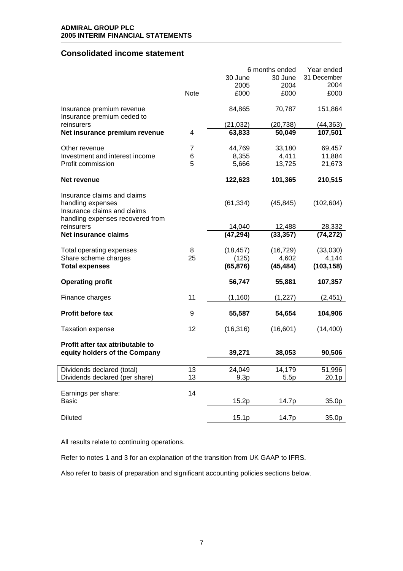# **Consolidated income statement**

|                                                                                      |      |           | 6 months ended | Year ended  |
|--------------------------------------------------------------------------------------|------|-----------|----------------|-------------|
|                                                                                      |      | 30 June   | 30 June        | 31 December |
|                                                                                      |      | 2005      | 2004           | 2004        |
|                                                                                      | Note | £000      | £000           | £000        |
| Insurance premium revenue<br>Insurance premium ceded to                              |      | 84,865    | 70,787         | 151,864     |
| reinsurers                                                                           |      | (21, 032) | (20, 738)      | (44, 363)   |
| Net insurance premium revenue                                                        | 4    | 63,833    | 50,049         | 107,501     |
| Other revenue                                                                        | 7    | 44,769    | 33,180         | 69,457      |
| Investment and interest income                                                       | 6    | 8,355     | 4,411          | 11,884      |
| Profit commission                                                                    | 5    | 5,666     | 13,725         | 21,673      |
| Net revenue                                                                          |      | 122,623   | 101,365        | 210,515     |
| Insurance claims and claims                                                          |      |           |                |             |
| handling expenses<br>Insurance claims and claims<br>handling expenses recovered from |      | (61, 334) | (45, 845)      | (102, 604)  |
| reinsurers                                                                           |      | 14,040    | 12,488         | 28,332      |
| Net insurance claims                                                                 |      | (47, 294) | (33, 357)      | (74, 272)   |
| Total operating expenses                                                             | 8    | (18, 457) | (16, 729)      | (33,030)    |
| Share scheme charges                                                                 | 25   | (125)     | 4,602          | 4,144       |
| <b>Total expenses</b>                                                                |      | (65, 876) | (45, 484)      | (103, 158)  |
| <b>Operating profit</b>                                                              |      | 56,747    | 55,881         | 107,357     |
| Finance charges                                                                      | 11   | (1, 160)  | (1,227)        | (2,451)     |
| <b>Profit before tax</b>                                                             | 9    | 55,587    | 54,654         | 104,906     |
| <b>Taxation expense</b>                                                              | 12   | (16, 316) | (16, 601)      | (14, 400)   |
| Profit after tax attributable to                                                     |      |           |                |             |
| equity holders of the Company                                                        |      | 39,271    | 38,053         | 90,506      |
| Dividends declared (total)                                                           | 13   | 24,049    | 14,179         | 51,996      |
| Dividends declared (per share)                                                       | 13   | 9.3p      | 5.5p           | 20.1p       |
|                                                                                      |      |           |                |             |
| Earnings per share:                                                                  | 14   |           |                |             |
| <b>Basic</b>                                                                         |      | 15.2p     | 14.7p          | 35.0p       |
| <b>Diluted</b>                                                                       |      | 15.1p     | 14.7p          | 35.0p       |

All results relate to continuing operations.

Refer to notes 1 and 3 for an explanation of the transition from UK GAAP to IFRS.

Also refer to basis of preparation and significant accounting policies sections below.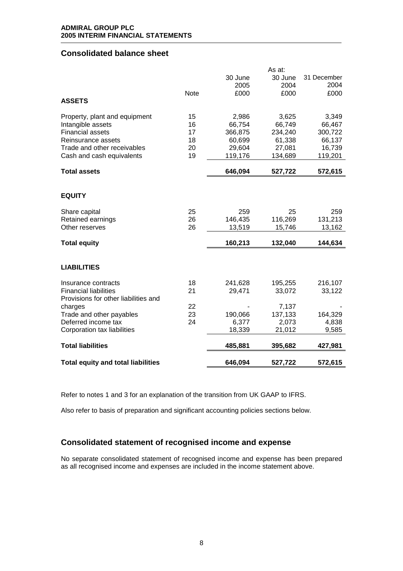# **Consolidated balance sheet**

|                                           |             |         | As at:  |             |
|-------------------------------------------|-------------|---------|---------|-------------|
|                                           |             | 30 June | 30 June | 31 December |
|                                           |             | 2005    | 2004    | 2004        |
|                                           | <b>Note</b> | £000    | £000    | £000        |
| <b>ASSETS</b>                             |             |         |         |             |
|                                           |             |         |         |             |
| Property, plant and equipment             | 15          | 2,986   | 3,625   | 3,349       |
| Intangible assets                         | 16          | 66,754  | 66,749  | 66,467      |
| <b>Financial assets</b>                   | 17          | 366,875 | 234,240 | 300,722     |
| Reinsurance assets                        | 18          | 60,699  | 61,338  | 66,137      |
| Trade and other receivables               | 20          | 29,604  | 27,081  | 16,739      |
| Cash and cash equivalents                 | 19          | 119,176 | 134,689 | 119,201     |
|                                           |             |         |         |             |
| <b>Total assets</b>                       |             | 646,094 | 527,722 | 572,615     |
|                                           |             |         |         |             |
| <b>EQUITY</b>                             |             |         |         |             |
|                                           |             |         |         |             |
| Share capital                             | 25          | 259     | 25      | 259         |
| Retained earnings                         | 26          | 146,435 | 116,269 | 131,213     |
| Other reserves                            | 26          | 13,519  | 15,746  | 13,162      |
|                                           |             |         |         |             |
| <b>Total equity</b>                       |             | 160,213 | 132,040 | 144,634     |
|                                           |             |         |         |             |
|                                           |             |         |         |             |
| <b>LIABILITIES</b>                        |             |         |         |             |
| Insurance contracts                       | 18          | 241,628 | 195,255 | 216,107     |
| <b>Financial liabilities</b>              | 21          | 29,471  | 33,072  | 33,122      |
| Provisions for other liabilities and      |             |         |         |             |
| charges                                   | 22          |         | 7,137   |             |
| Trade and other payables                  | 23          | 190,066 | 137,133 | 164,329     |
| Deferred income tax                       | 24          | 6,377   | 2,073   | 4,838       |
| Corporation tax liabilities               |             | 18,339  | 21,012  | 9,585       |
|                                           |             |         |         |             |
| <b>Total liabilities</b>                  |             | 485,881 | 395,682 | 427,981     |
| <b>Total equity and total liabilities</b> |             | 646,094 | 527,722 | 572,615     |
|                                           |             |         |         |             |

Refer to notes 1 and 3 for an explanation of the transition from UK GAAP to IFRS.

Also refer to basis of preparation and significant accounting policies sections below.

# **Consolidated statement of recognised income and expense**

No separate consolidated statement of recognised income and expense has been prepared as all recognised income and expenses are included in the income statement above.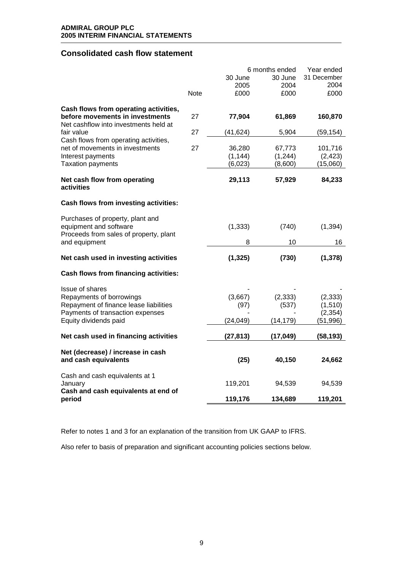# **Consolidated cash flow statement**

|                                                                          |             |           | 6 months ended | Year ended  |
|--------------------------------------------------------------------------|-------------|-----------|----------------|-------------|
|                                                                          |             | 30 June   | 30 June        | 31 December |
|                                                                          |             | 2005      | 2004           | 2004        |
|                                                                          | <b>Note</b> | £000      | £000           | £000        |
| Cash flows from operating activities,                                    |             |           |                |             |
| before movements in investments<br>Net cashflow into investments held at | 27          | 77,904    | 61,869         | 160,870     |
| fair value                                                               | 27          | (41, 624) | 5,904          | (59,154)    |
| Cash flows from operating activities,                                    |             |           |                |             |
| net of movements in investments                                          | 27          | 36,280    | 67,773         | 101,716     |
| Interest payments                                                        |             | (1, 144)  | (1, 244)       | (2, 423)    |
| <b>Taxation payments</b>                                                 |             | (6,023)   | (8,600)        | (15,060)    |
| Net cash flow from operating<br>activities                               |             | 29,113    | 57,929         | 84,233      |
| Cash flows from investing activities:                                    |             |           |                |             |
| Purchases of property, plant and                                         |             |           |                |             |
| equipment and software                                                   |             | (1, 333)  | (740)          | (1, 394)    |
| Proceeds from sales of property, plant                                   |             |           |                |             |
| and equipment                                                            |             | 8         | 10             | 16          |
| Net cash used in investing activities                                    |             | (1, 325)  | (730)          | (1, 378)    |
| Cash flows from financing activities:                                    |             |           |                |             |
| Issue of shares                                                          |             |           |                |             |
| Repayments of borrowings                                                 |             | (3,667)   | (2, 333)       | (2, 333)    |
| Repayment of finance lease liabilities                                   |             | (97)      | (537)          | (1, 510)    |
| Payments of transaction expenses                                         |             |           |                | (2, 354)    |
| Equity dividends paid                                                    |             | (24, 049) | (14, 179)      | (51, 996)   |
| Net cash used in financing activities                                    |             | (27, 813) | (17, 049)      | (58, 193)   |
| Net (decrease) / increase in cash                                        |             |           |                |             |
| and cash equivalents                                                     |             | (25)      | 40,150         | 24,662      |
| Cash and cash equivalents at 1                                           |             |           |                |             |
| January<br>Cash and cash equivalents at end of                           |             | 119,201   | 94,539         | 94,539      |
| period                                                                   |             | 119,176   | 134,689        | 119,201     |

Refer to notes 1 and 3 for an explanation of the transition from UK GAAP to IFRS.

Also refer to basis of preparation and significant accounting policies sections below.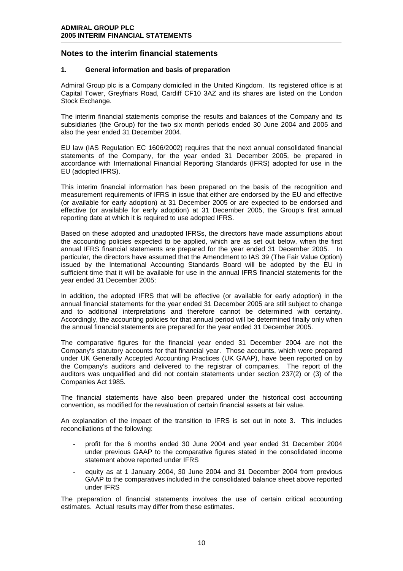# **Notes to the interim financial statements**

### **1. General information and basis of preparation**

Admiral Group plc is a Company domiciled in the United Kingdom. Its registered office is at Capital Tower, Greyfriars Road, Cardiff CF10 3AZ and its shares are listed on the London Stock Exchange.

The interim financial statements comprise the results and balances of the Company and its subsidiaries (the Group) for the two six month periods ended 30 June 2004 and 2005 and also the year ended 31 December 2004.

EU law (IAS Regulation EC 1606/2002) requires that the next annual consolidated financial statements of the Company, for the year ended 31 December 2005, be prepared in accordance with International Financial Reporting Standards (IFRS) adopted for use in the EU (adopted IFRS).

This interim financial information has been prepared on the basis of the recognition and measurement requirements of IFRS in issue that either are endorsed by the EU and effective (or available for early adoption) at 31 December 2005 or are expected to be endorsed and effective (or available for early adoption) at 31 December 2005, the Group's first annual reporting date at which it is required to use adopted IFRS.

Based on these adopted and unadopted IFRSs, the directors have made assumptions about the accounting policies expected to be applied, which are as set out below, when the first annual IFRS financial statements are prepared for the year ended 31 December 2005.In particular, the directors have assumed that the Amendment to IAS 39 (The Fair Value Option) issued by the International Accounting Standards Board will be adopted by the EU in sufficient time that it will be available for use in the annual IFRS financial statements for the year ended 31 December 2005:

In addition, the adopted IFRS that will be effective (or available for early adoption) in the annual financial statements for the year ended 31 December 2005 are still subject to change and to additional interpretations and therefore cannot be determined with certainty. Accordingly, the accounting policies for that annual period will be determined finally only when the annual financial statements are prepared for the year ended 31 December 2005.

The comparative figures for the financial year ended 31 December 2004 are not the Company's statutory accounts for that financial year. Those accounts, which were prepared under UK Generally Accepted Accounting Practices (UK GAAP), have been reported on by the Company's auditors and delivered to the registrar of companies. The report of the auditors was unqualified and did not contain statements under section 237(2) or (3) of the Companies Act 1985.

The financial statements have also been prepared under the historical cost accounting convention, as modified for the revaluation of certain financial assets at fair value.

An explanation of the impact of the transition to IFRS is set out in note 3. This includes reconciliations of the following:

- profit for the 6 months ended 30 June 2004 and year ended 31 December 2004 under previous GAAP to the comparative figures stated in the consolidated income statement above reported under IFRS
- equity as at 1 January 2004, 30 June 2004 and 31 December 2004 from previous GAAP to the comparatives included in the consolidated balance sheet above reported under IFRS

The preparation of financial statements involves the use of certain critical accounting estimates. Actual results may differ from these estimates.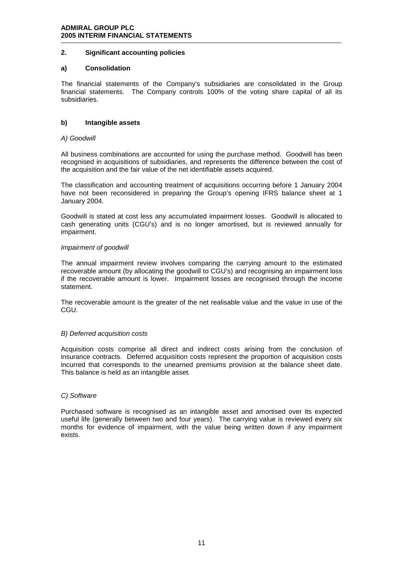## **2. Significant accounting policies**

#### **a) Consolidation**

The financial statements of the Company's subsidiaries are consolidated in the Group financial statements. The Company controls 100% of the voting share capital of all its subsidiaries.

#### **b) Intangible assets**

#### *A) Goodwill*

All business combinations are accounted for using the purchase method. Goodwill has been recognised in acquisitions of subsidiaries, and represents the difference between the cost of the acquisition and the fair value of the net identifiable assets acquired.

The classification and accounting treatment of acquisitions occurring before 1 January 2004 have not been reconsidered in preparing the Group's opening IFRS balance sheet at 1 January 2004.

Goodwill is stated at cost less any accumulated impairment losses. Goodwill is allocated to cash generating units (CGU's) and is no longer amortised, but is reviewed annually for impairment.

#### *Impairment of goodwill*

The annual impairment review involves comparing the carrying amount to the estimated recoverable amount (by allocating the goodwill to CGU's) and recognising an impairment loss if the recoverable amount is lower. Impairment losses are recognised through the income statement.

The recoverable amount is the greater of the net realisable value and the value in use of the CGU.

#### *B) Deferred acquisition costs*

Acquisition costs comprise all direct and indirect costs arising from the conclusion of insurance contracts. Deferred acquisition costs represent the proportion of acquisition costs incurred that corresponds to the unearned premiums provision at the balance sheet date. This balance is held as an intangible asset.

#### *C) Software*

Purchased software is recognised as an intangible asset and amortised over its expected useful life (generally between two and four years). The carrying value is reviewed every six months for evidence of impairment, with the value being written down if any impairment exists.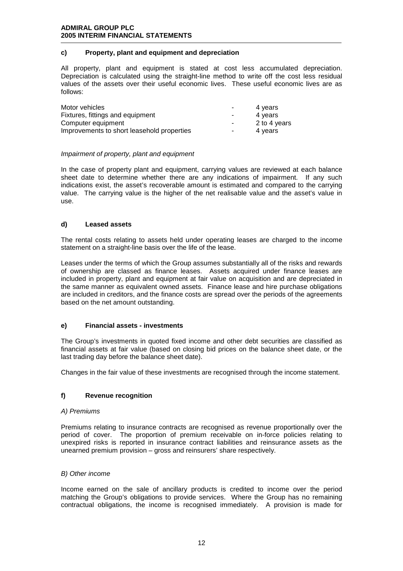## **c) Property, plant and equipment and depreciation**

All property, plant and equipment is stated at cost less accumulated depreciation. Depreciation is calculated using the straight-line method to write off the cost less residual values of the assets over their useful economic lives. These useful economic lives are as follows:

| Motor vehicles                             | ۰                        | 4 years      |
|--------------------------------------------|--------------------------|--------------|
| Fixtures, fittings and equipment           | $\overline{\phantom{a}}$ | 4 years      |
| Computer equipment                         | $\blacksquare$           | 2 to 4 years |
| Improvements to short leasehold properties | $\blacksquare$           | 4 vears      |

#### *Impairment of property, plant and equipment*

In the case of property plant and equipment, carrying values are reviewed at each balance sheet date to determine whether there are any indications of impairment. If any such indications exist, the asset's recoverable amount is estimated and compared to the carrying value. The carrying value is the higher of the net realisable value and the asset's value in use.

#### **d) Leased assets**

The rental costs relating to assets held under operating leases are charged to the income statement on a straight-line basis over the life of the lease.

Leases under the terms of which the Group assumes substantially all of the risks and rewards of ownership are classed as finance leases. Assets acquired under finance leases are included in property, plant and equipment at fair value on acquisition and are depreciated in the same manner as equivalent owned assets. Finance lease and hire purchase obligations are included in creditors, and the finance costs are spread over the periods of the agreements based on the net amount outstanding.

## **e) Financial assets - investments**

The Group's investments in quoted fixed income and other debt securities are classified as financial assets at fair value (based on closing bid prices on the balance sheet date, or the last trading day before the balance sheet date).

Changes in the fair value of these investments are recognised through the income statement.

## **f) Revenue recognition**

#### *A) Premiums*

Premiums relating to insurance contracts are recognised as revenue proportionally over the period of cover. The proportion of premium receivable on in-force policies relating to unexpired risks is reported in insurance contract liabilities and reinsurance assets as the unearned premium provision – gross and reinsurers' share respectively.

#### *B) Other income*

Income earned on the sale of ancillary products is credited to income over the period matching the Group's obligations to provide services. Where the Group has no remaining contractual obligations, the income is recognised immediately. A provision is made for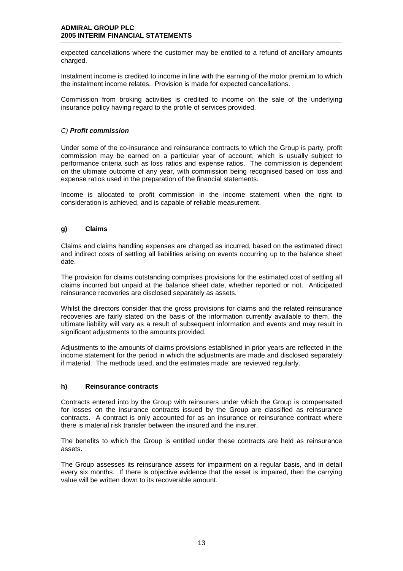expected cancellations where the customer may be entitled to a refund of ancillary amounts charged.

Instalment income is credited to income in line with the earning of the motor premium to which the instalment income relates. Provision is made for expected cancellations.

Commission from broking activities is credited to income on the sale of the underlying insurance policy having regard to the profile of services provided.

## *C) Profit commission*

Under some of the co-insurance and reinsurance contracts to which the Group is party, profit commission may be earned on a particular year of account, which is usually subject to performance criteria such as loss ratios and expense ratios. The commission is dependent on the ultimate outcome of any year, with commission being recognised based on loss and expense ratios used in the preparation of the financial statements.

Income is allocated to profit commission in the income statement when the right to consideration is achieved, and is capable of reliable measurement.

## **g) Claims**

Claims and claims handling expenses are charged as incurred, based on the estimated direct and indirect costs of settling all liabilities arising on events occurring up to the balance sheet date.

The provision for claims outstanding comprises provisions for the estimated cost of settling all claims incurred but unpaid at the balance sheet date, whether reported or not. Anticipated reinsurance recoveries are disclosed separately as assets.

Whilst the directors consider that the gross provisions for claims and the related reinsurance recoveries are fairly stated on the basis of the information currently available to them, the ultimate liability will vary as a result of subsequent information and events and may result in significant adjustments to the amounts provided.

Adjustments to the amounts of claims provisions established in prior years are reflected in the income statement for the period in which the adjustments are made and disclosed separately if material. The methods used, and the estimates made, are reviewed regularly.

#### **h) Reinsurance contracts**

Contracts entered into by the Group with reinsurers under which the Group is compensated for losses on the insurance contracts issued by the Group are classified as reinsurance contracts. A contract is only accounted for as an insurance or reinsurance contract where there is material risk transfer between the insured and the insurer.

The benefits to which the Group is entitled under these contracts are held as reinsurance assets.

The Group assesses its reinsurance assets for impairment on a regular basis, and in detail every six months. If there is objective evidence that the asset is impaired, then the carrying value will be written down to its recoverable amount.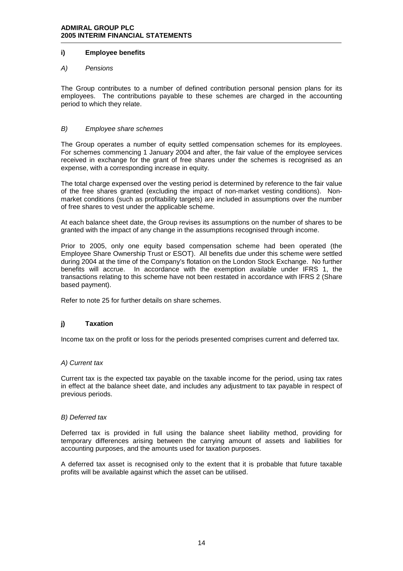#### **i) Employee benefits**

#### *A) Pensions*

The Group contributes to a number of defined contribution personal pension plans for its employees. The contributions payable to these schemes are charged in the accounting period to which they relate.

#### *B) Employee share schemes*

The Group operates a number of equity settled compensation schemes for its employees. For schemes commencing 1 January 2004 and after, the fair value of the employee services received in exchange for the grant of free shares under the schemes is recognised as an expense, with a corresponding increase in equity.

The total charge expensed over the vesting period is determined by reference to the fair value of the free shares granted (excluding the impact of non-market vesting conditions). Nonmarket conditions (such as profitability targets) are included in assumptions over the number of free shares to vest under the applicable scheme.

At each balance sheet date, the Group revises its assumptions on the number of shares to be granted with the impact of any change in the assumptions recognised through income.

Prior to 2005, only one equity based compensation scheme had been operated (the Employee Share Ownership Trust or ESOT). All benefits due under this scheme were settled during 2004 at the time of the Company's flotation on the London Stock Exchange. No further benefits will accrue. In accordance with the exemption available under IFRS 1, the transactions relating to this scheme have not been restated in accordance with IFRS 2 (Share based payment).

Refer to note 25 for further details on share schemes.

## **j) Taxation**

Income tax on the profit or loss for the periods presented comprises current and deferred tax.

#### *A) Current tax*

Current tax is the expected tax payable on the taxable income for the period, using tax rates in effect at the balance sheet date, and includes any adjustment to tax payable in respect of previous periods.

#### *B) Deferred tax*

Deferred tax is provided in full using the balance sheet liability method, providing for temporary differences arising between the carrying amount of assets and liabilities for accounting purposes, and the amounts used for taxation purposes.

A deferred tax asset is recognised only to the extent that it is probable that future taxable profits will be available against which the asset can be utilised.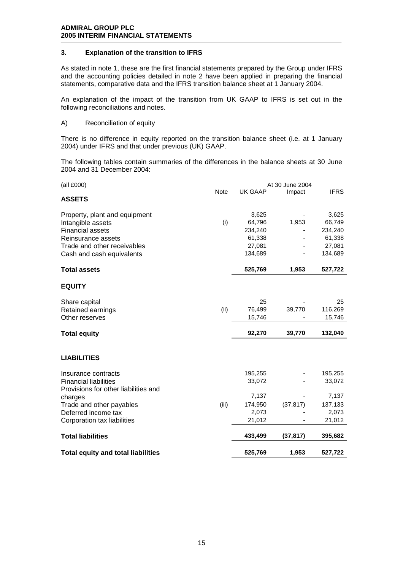#### **3. Explanation of the transition to IFRS**

As stated in note 1, these are the first financial statements prepared by the Group under IFRS and the accounting policies detailed in note 2 have been applied in preparing the financial statements, comparative data and the IFRS transition balance sheet at 1 January 2004.

An explanation of the impact of the transition from UK GAAP to IFRS is set out in the following reconciliations and notes.

A) Reconciliation of equity

There is no difference in equity reported on the transition balance sheet (i.e. at 1 January 2004) under IFRS and that under previous (UK) GAAP.

The following tables contain summaries of the differences in the balance sheets at 30 June 2004 and 31 December 2004:

| (all £000)                                |             |                | At 30 June 2004 |             |
|-------------------------------------------|-------------|----------------|-----------------|-------------|
|                                           | <b>Note</b> | <b>UK GAAP</b> | Impact          | <b>IFRS</b> |
| <b>ASSETS</b>                             |             |                |                 |             |
| Property, plant and equipment             |             | 3,625          |                 | 3,625       |
| Intangible assets                         | (i)         | 64,796         | 1,953           | 66,749      |
| <b>Financial assets</b>                   |             | 234,240        |                 | 234,240     |
| Reinsurance assets                        |             | 61,338         |                 | 61,338      |
| Trade and other receivables               |             | 27,081         |                 | 27,081      |
| Cash and cash equivalents                 |             | 134,689        |                 | 134,689     |
| <b>Total assets</b>                       |             | 525,769        | 1,953           | 527,722     |
| <b>EQUITY</b>                             |             |                |                 |             |
| Share capital                             |             | 25             |                 | 25          |
| Retained earnings                         | (ii)        | 76,499         | 39,770          | 116,269     |
| Other reserves                            |             | 15,746         |                 | 15,746      |
| <b>Total equity</b>                       |             | 92,270         | 39,770          | 132,040     |
|                                           |             |                |                 |             |
| <b>LIABILITIES</b>                        |             |                |                 |             |
| Insurance contracts                       |             | 195,255        |                 | 195,255     |
| <b>Financial liabilities</b>              |             | 33,072         |                 | 33,072      |
| Provisions for other liabilities and      |             |                |                 |             |
| charges                                   |             | 7,137          |                 | 7,137       |
| Trade and other payables                  | (iii)       | 174,950        | (37, 817)       | 137,133     |
| Deferred income tax                       |             | 2,073          |                 | 2,073       |
| Corporation tax liabilities               |             | 21,012         |                 | 21,012      |
| <b>Total liabilities</b>                  |             | 433,499        | (37, 817)       | 395,682     |
| <b>Total equity and total liabilities</b> |             | 525,769        | 1,953           | 527,722     |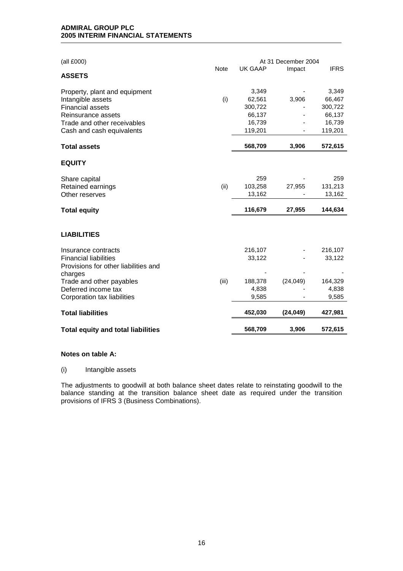| (all £000)                                               |             |                   | At 31 December 2004 |                   |
|----------------------------------------------------------|-------------|-------------------|---------------------|-------------------|
| <b>ASSETS</b>                                            | <b>Note</b> | <b>UK GAAP</b>    | Impact              | <b>IFRS</b>       |
|                                                          |             |                   |                     |                   |
| Property, plant and equipment                            |             | 3,349             |                     | 3,349             |
| Intangible assets                                        | (i)         | 62,561            | 3,906               | 66,467            |
| <b>Financial assets</b>                                  |             | 300,722           |                     | 300,722           |
| Reinsurance assets                                       |             | 66,137            |                     | 66,137            |
| Trade and other receivables<br>Cash and cash equivalents |             | 16,739<br>119,201 |                     | 16,739<br>119,201 |
|                                                          |             |                   |                     |                   |
| <b>Total assets</b>                                      |             | 568,709           | 3,906               | 572,615           |
| <b>EQUITY</b>                                            |             |                   |                     |                   |
| Share capital                                            |             | 259               |                     | 259               |
| Retained earnings                                        | (ii)        | 103,258           | 27,955              | 131,213           |
| Other reserves                                           |             | 13,162            |                     | 13,162            |
|                                                          |             | 116,679           | 27,955              | 144,634           |
| <b>Total equity</b>                                      |             |                   |                     |                   |
| <b>LIABILITIES</b>                                       |             |                   |                     |                   |
| Insurance contracts                                      |             | 216,107           |                     | 216,107           |
| <b>Financial liabilities</b>                             |             | 33,122            |                     | 33,122            |
| Provisions for other liabilities and                     |             |                   |                     |                   |
| charges                                                  |             |                   |                     |                   |
| Trade and other payables                                 | (iii)       | 188,378           | (24, 049)           | 164,329           |
| Deferred income tax                                      |             | 4,838             |                     | 4,838             |
| Corporation tax liabilities                              |             | 9,585             |                     | 9,585             |
| <b>Total liabilities</b>                                 |             | 452,030           | (24, 049)           | 427,981           |
| <b>Total equity and total liabilities</b>                |             | 568,709           | 3,906               | 572,615           |

#### **Notes on table A:**

#### (i) Intangible assets

The adjustments to goodwill at both balance sheet dates relate to reinstating goodwill to the balance standing at the transition balance sheet date as required under the transition provisions of IFRS 3 (Business Combinations).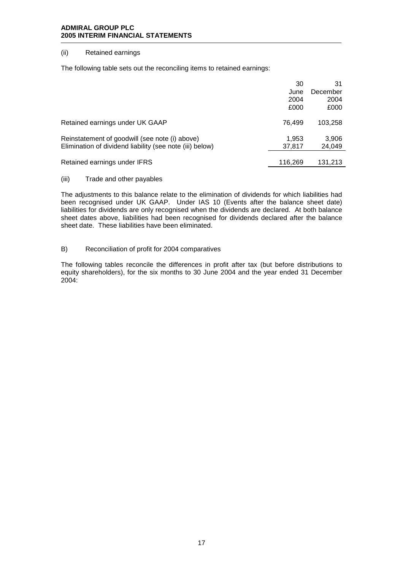#### (ii) Retained earnings

The following table sets out the reconciling items to retained earnings:

|                                                          | 30      | 31       |
|----------------------------------------------------------|---------|----------|
|                                                          | June    | December |
|                                                          | 2004    | 2004     |
|                                                          | £000    | £000     |
| Retained earnings under UK GAAP                          | 76.499  | 103.258  |
| Reinstatement of goodwill (see note (i) above)           | 1,953   | 3,906    |
| Elimination of dividend liability (see note (iii) below) | 37,817  | 24,049   |
|                                                          |         |          |
| Retained earnings under IFRS                             | 116.269 | 131.213  |

#### (iii) Trade and other payables

The adjustments to this balance relate to the elimination of dividends for which liabilities had been recognised under UK GAAP. Under IAS 10 (Events after the balance sheet date) liabilities for dividends are only recognised when the dividends are declared. At both balance sheet dates above, liabilities had been recognised for dividends declared after the balance sheet date. These liabilities have been eliminated.

## B) Reconciliation of profit for 2004 comparatives

The following tables reconcile the differences in profit after tax (but before distributions to equity shareholders), for the six months to 30 June 2004 and the year ended 31 December 2004: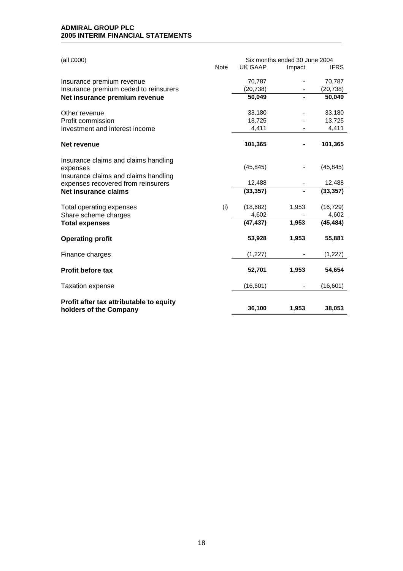| (all £000)                                                        |             |           | Six months ended 30 June 2004 |             |
|-------------------------------------------------------------------|-------------|-----------|-------------------------------|-------------|
|                                                                   | <b>Note</b> | UK GAAP   | Impact                        | <b>IFRS</b> |
| Insurance premium revenue                                         |             | 70,787    |                               | 70,787      |
| Insurance premium ceded to reinsurers                             |             | (20, 738) |                               | (20, 738)   |
| Net insurance premium revenue                                     |             | 50,049    |                               | 50,049      |
| Other revenue                                                     |             | 33,180    |                               | 33,180      |
| Profit commission                                                 |             | 13,725    |                               | 13,725      |
| Investment and interest income                                    |             | 4,411     |                               | 4,411       |
| Net revenue                                                       |             | 101,365   |                               | 101,365     |
| Insurance claims and claims handling<br>expenses                  |             | (45, 845) |                               | (45, 845)   |
| Insurance claims and claims handling                              |             |           |                               |             |
| expenses recovered from reinsurers                                |             | 12,488    |                               | 12,488      |
| <b>Net insurance claims</b>                                       |             | (33, 357) |                               | (33, 357)   |
| Total operating expenses                                          | (i)         | (18,682)  | 1,953                         | (16, 729)   |
| Share scheme charges                                              |             | 4,602     |                               | 4,602       |
| <b>Total expenses</b>                                             |             | (47, 437) | 1,953                         | (45, 484)   |
| <b>Operating profit</b>                                           |             | 53,928    | 1,953                         | 55,881      |
| Finance charges                                                   |             | (1, 227)  |                               | (1, 227)    |
| <b>Profit before tax</b>                                          |             | 52,701    | 1,953                         | 54,654      |
| <b>Taxation expense</b>                                           |             | (16, 601) |                               | (16, 601)   |
| Profit after tax attributable to equity<br>holders of the Company |             | 36,100    | 1,953                         | 38,053      |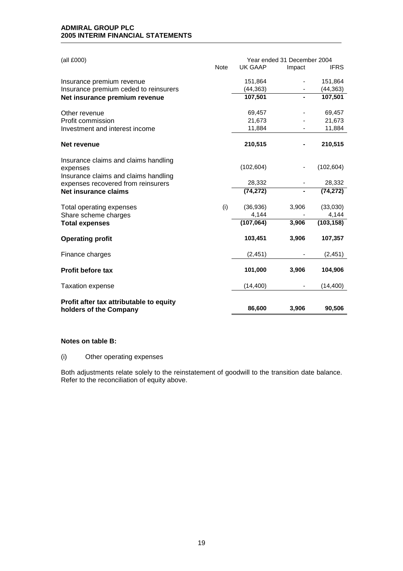| (all £000)                                       | Year ended 31 December 2004 |                |        |             |
|--------------------------------------------------|-----------------------------|----------------|--------|-------------|
|                                                  | <b>Note</b>                 | <b>UK GAAP</b> | Impact | <b>IFRS</b> |
| Insurance premium revenue                        |                             | 151,864        |        | 151,864     |
| Insurance premium ceded to reinsurers            |                             | (44, 363)      |        | (44, 363)   |
| Net insurance premium revenue                    |                             | 107,501        |        | 107,501     |
| Other revenue                                    |                             | 69,457         |        | 69,457      |
| Profit commission                                |                             | 21,673         |        | 21,673      |
| Investment and interest income                   |                             | 11,884         |        | 11,884      |
| Net revenue                                      |                             | 210,515        |        | 210,515     |
| Insurance claims and claims handling<br>expenses |                             | (102, 604)     |        | (102, 604)  |
| Insurance claims and claims handling             |                             |                |        |             |
| expenses recovered from reinsurers               |                             | 28,332         |        | 28,332      |
| Net insurance claims                             |                             | (74, 272)      |        | (74, 272)   |
| Total operating expenses                         | (i)                         | (36,936)       | 3,906  | (33,030)    |
| Share scheme charges                             |                             | 4,144          |        | 4,144       |
| <b>Total expenses</b>                            |                             | (107,064)      | 3,906  | (103, 158)  |
| <b>Operating profit</b>                          |                             | 103,451        | 3,906  | 107,357     |
| Finance charges                                  |                             | (2, 451)       |        | (2, 451)    |
| <b>Profit before tax</b>                         |                             | 101,000        | 3,906  | 104,906     |
| <b>Taxation expense</b>                          |                             | (14, 400)      |        | (14, 400)   |
| Profit after tax attributable to equity          |                             |                |        |             |
| holders of the Company                           |                             | 86,600         | 3,906  | 90,506      |

#### **Notes on table B:**

#### (i) Other operating expenses

Both adjustments relate solely to the reinstatement of goodwill to the transition date balance. Refer to the reconciliation of equity above.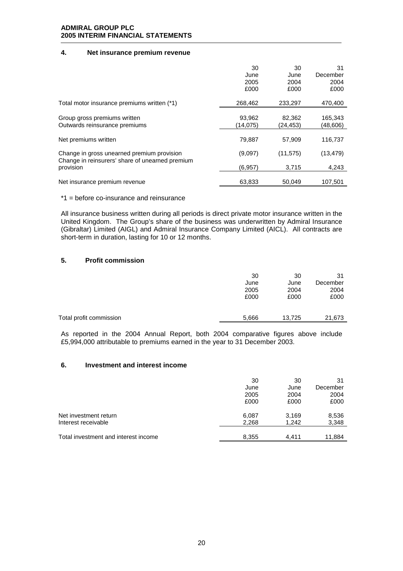### **4. Net insurance premium revenue**

|                                                                                               | 30<br>June<br>2005<br>£000 | 30<br>June<br>2004<br>£000 | 31<br>December<br>2004<br>£000 |
|-----------------------------------------------------------------------------------------------|----------------------------|----------------------------|--------------------------------|
| Total motor insurance premiums written (*1)                                                   | 268,462                    | 233,297                    | 470,400                        |
| Group gross premiums written<br>Outwards reinsurance premiums                                 | 93,962<br>(14,075)         | 82,362<br>(24,453)         | 165,343<br>(48,606)            |
| Net premiums written                                                                          | 79,887                     | 57,909                     | 116,737                        |
| Change in gross unearned premium provision<br>Change in reinsurers' share of unearned premium | (9,097)                    | (11, 575)                  | (13, 479)                      |
| provision                                                                                     | (6, 957)                   | 3,715                      | 4,243                          |
| Net insurance premium revenue                                                                 | 63,833                     | 50.049                     | 107.501                        |

\*1 = before co-insurance and reinsurance

All insurance business written during all periods is direct private motor insurance written in the United Kingdom. The Group's share of the business was underwritten by Admiral Insurance (Gibraltar) Limited (AIGL) and Admiral Insurance Company Limited (AICL). All contracts are short-term in duration, lasting for 10 or 12 months.

## **5. Profit commission**

|                         | 30    | 30     | 31       |
|-------------------------|-------|--------|----------|
|                         | June  | June   | December |
|                         | 2005  | 2004   | 2004     |
|                         | £000  | £000   | £000     |
| Total profit commission | 5,666 | 13,725 | 21,673   |

As reported in the 2004 Annual Report, both 2004 comparative figures above include £5,994,000 attributable to premiums earned in the year to 31 December 2003.

#### **6. Investment and interest income**

|                                      | 30    | 30    | 31       |
|--------------------------------------|-------|-------|----------|
|                                      | June  | June  | December |
|                                      | 2005  | 2004  | 2004     |
|                                      | £000  | £000  | £000     |
| Net investment return                | 6,087 | 3,169 | 8,536    |
| Interest receivable                  | 2,268 | 1,242 | 3,348    |
|                                      |       |       |          |
| Total investment and interest income | 8,355 | 4.411 | 11,884   |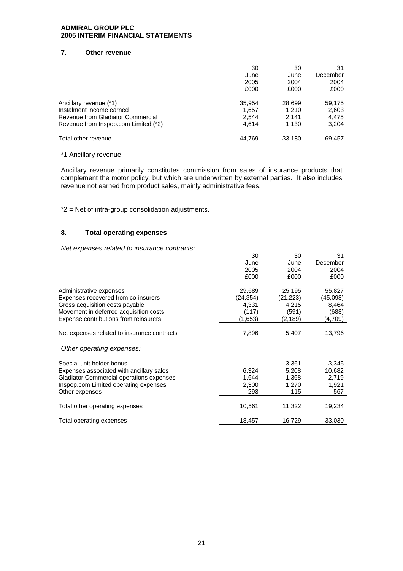## **7. Other revenue**

|                                      | 30     | 30     | 31       |
|--------------------------------------|--------|--------|----------|
|                                      | June   | June   | December |
|                                      | 2005   | 2004   | 2004     |
|                                      | £000   | £000   | £000     |
| Ancillary revenue (*1)               | 35,954 | 28,699 | 59,175   |
| Instalment income earned             | 1,657  | 1.210  | 2,603    |
| Revenue from Gladiator Commercial    | 2,544  | 2.141  | 4,475    |
| Revenue from Inspop.com Limited (*2) | 4,614  | 1,130  | 3,204    |
| Total other revenue                  | 44,769 | 33,180 | 69,457   |

#### \*1 Ancillary revenue:

Ancillary revenue primarily constitutes commission from sales of insurance products that complement the motor policy, but which are underwritten by external parties. It also includes revenue not earned from product sales, mainly administrative fees.

\*2 = Net of intra-group consolidation adjustments.

### **8. Total operating expenses**

*Net expenses related to insurance contracts:* 

|                                             | 30        | 30        | 31       |
|---------------------------------------------|-----------|-----------|----------|
|                                             | June      | June      | December |
|                                             | 2005      | 2004      | 2004     |
|                                             | £000      | £000      | £000     |
| Administrative expenses                     | 29,689    | 25,195    | 55,827   |
| Expenses recovered from co-insurers         | (24, 354) | (21, 223) | (45,098) |
| Gross acquisition costs payable             | 4,331     | 4,215     | 8,464    |
| Movement in deferred acquisition costs      | (117)     | (591)     | (688)    |
| Expense contributions from reinsurers       | (1,653)   | (2, 189)  | (4,709)  |
| Net expenses related to insurance contracts | 7,896     | 5,407     | 13,796   |
| Other operating expenses:                   |           |           |          |
| Special unit-holder bonus                   |           | 3,361     | 3,345    |
| Expenses associated with ancillary sales    | 6,324     | 5,208     | 10,682   |
| Gladiator Commercial operations expenses    | 1,644     | 1,368     | 2,719    |
| Inspop.com Limited operating expenses       | 2,300     | 1,270     | 1,921    |
| Other expenses                              | 293       | 115       | 567      |
| Total other operating expenses              | 10,561    | 11,322    | 19,234   |
| Total operating expenses                    | 18,457    | 16,729    | 33,030   |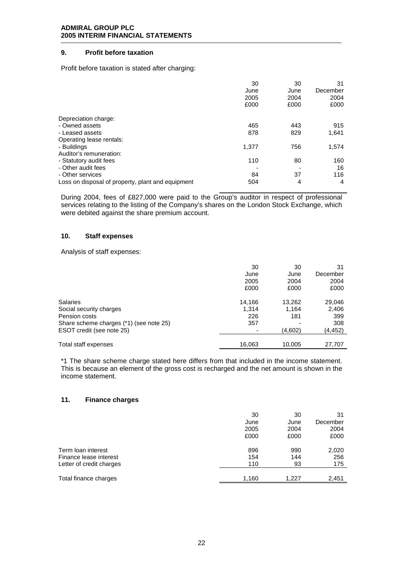# **9. Profit before taxation**

Profit before taxation is stated after charging:

|                                                   | 30<br>June<br>2005<br>£000 | 30<br>June<br>2004<br>£000 | 31<br>December<br>2004<br>£000 |
|---------------------------------------------------|----------------------------|----------------------------|--------------------------------|
| Depreciation charge:                              |                            |                            |                                |
| - Owned assets                                    | 465                        | 443                        | 915                            |
| - Leased assets                                   | 878                        | 829                        | 1,641                          |
| Operating lease rentals:                          |                            |                            |                                |
| - Buildings                                       | 1,377                      | 756                        | 1,574                          |
| Auditor's remuneration:                           |                            |                            |                                |
| - Statutory audit fees                            | 110                        | 80                         | 160                            |
| - Other audit fees                                |                            |                            | 16                             |
| - Other services                                  | 84                         | 37                         | 116                            |
| Loss on disposal of property, plant and equipment | 504                        | 4                          | 4                              |

During 2004, fees of £827,000 were paid to the Group's auditor in respect of professional services relating to the listing of the Company's shares on the London Stock Exchange, which were debited against the share premium account.

#### **10. Staff expenses**

Analysis of staff expenses:

|                                         | 30     | 30      | 31       |
|-----------------------------------------|--------|---------|----------|
|                                         | June   | June    | December |
|                                         | 2005   | 2004    | 2004     |
|                                         | £000   | £000    | £000     |
| <b>Salaries</b>                         | 14,166 | 13,262  | 29,046   |
| Social security charges                 | 1.314  | 1.164   | 2,406    |
| Pension costs                           | 226    | 181     | 399      |
| Share scheme charges (*1) (see note 25) | 357    |         | 308      |
| ESOT credit (see note 25)               |        | (4,602) | (4,452)  |
|                                         |        |         |          |
| Total staff expenses                    | 16,063 | 10,005  | 27,707   |

\*1 The share scheme charge stated here differs from that included in the income statement. This is because an element of the gross cost is recharged and the net amount is shown in the income statement.

#### **11. Finance charges**

|                          | 30    | 30    | 31       |
|--------------------------|-------|-------|----------|
|                          | June  | June  | December |
|                          | 2005  | 2004  | 2004     |
|                          | £000  | £000  | £000     |
| Term loan interest       | 896   | 990   | 2,020    |
| Finance lease interest   | 154   | 144   | 256      |
| Letter of credit charges | 110   | 93    | 175      |
| Total finance charges    | 1,160 | 1.227 | 2,451    |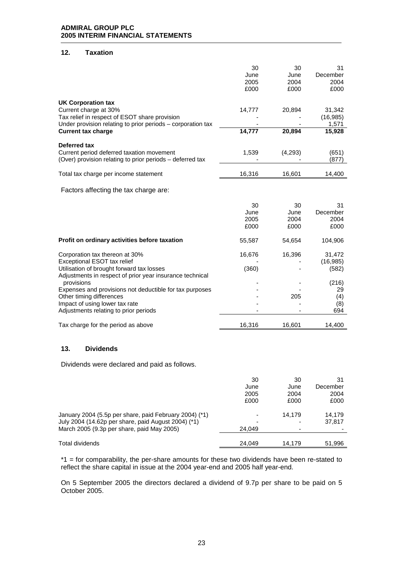## **12. Taxation**

|                                                                                                                                                                                                                                                                                                               | 30<br>June<br>2005<br>£000 | 30<br>June<br>2004<br>£000 | 31<br>December<br>2004<br>£000                            |
|---------------------------------------------------------------------------------------------------------------------------------------------------------------------------------------------------------------------------------------------------------------------------------------------------------------|----------------------------|----------------------------|-----------------------------------------------------------|
| <b>UK Corporation tax</b><br>Current charge at 30%<br>Tax relief in respect of ESOT share provision<br>Under provision relating to prior periods - corporation tax<br><b>Current tax charge</b>                                                                                                               | 14,777<br>14,777           | 20,894<br>20,894           | 31,342<br>(16, 985)<br>1,571<br>15,928                    |
| Deferred tax<br>Current period deferred taxation movement<br>(Over) provision relating to prior periods - deferred tax                                                                                                                                                                                        | 1,539                      | (4, 293)                   | (651)<br>(877)                                            |
| Total tax charge per income statement                                                                                                                                                                                                                                                                         | 16,316                     | 16,601                     | 14,400                                                    |
| Factors affecting the tax charge are:                                                                                                                                                                                                                                                                         |                            |                            |                                                           |
|                                                                                                                                                                                                                                                                                                               | 30<br>June<br>2005<br>£000 | 30<br>June<br>2004<br>£000 | 31<br>December<br>2004<br>£000                            |
| Profit on ordinary activities before taxation                                                                                                                                                                                                                                                                 | 55,587                     | 54,654                     | 104,906                                                   |
| Corporation tax thereon at 30%<br>Exceptional ESOT tax relief<br>Utilisation of brought forward tax losses<br>Adjustments in respect of prior year insurance technical<br>provisions<br>Expenses and provisions not deductible for tax purposes<br>Other timing differences<br>Impact of using lower tax rate | 16,676<br>(360)            | 16,396<br>205              | 31,472<br>(16, 985)<br>(582)<br>(216)<br>29<br>(4)<br>(8) |
| Adjustments relating to prior periods                                                                                                                                                                                                                                                                         |                            |                            | 694                                                       |
| Tax charge for the period as above                                                                                                                                                                                                                                                                            | 16,316                     | 16,601                     | 14,400                                                    |
| 13.<br><b>Dividends</b>                                                                                                                                                                                                                                                                                       |                            |                            |                                                           |
| Dividends were declared and paid as follows.                                                                                                                                                                                                                                                                  |                            |                            |                                                           |
|                                                                                                                                                                                                                                                                                                               | 30<br>June                 | 30<br>June                 | 31<br>December                                            |

|                                                        | JUIK                     | JUIK                     | Deceninei |
|--------------------------------------------------------|--------------------------|--------------------------|-----------|
|                                                        | 2005                     | 2004                     | 2004      |
|                                                        | £000                     | £000                     | £000      |
| January 2004 (5.5p per share, paid February 2004) (*1) | $\overline{\phantom{0}}$ | 14.179                   | 14.179    |
| July 2004 (14.62p per share, paid August 2004) (*1)    | -                        | ٠                        | 37.817    |
| March 2005 (9.3p per share, paid May 2005)             | 24.049                   | $\overline{\phantom{0}}$ |           |
| Total dividends                                        | 24.049                   | 14.179                   | 51.996    |

\*1 = for comparability, the per-share amounts for these two dividends have been re-stated to reflect the share capital in issue at the 2004 year-end and 2005 half year-end.

On 5 September 2005 the directors declared a dividend of 9.7p per share to be paid on 5 October 2005.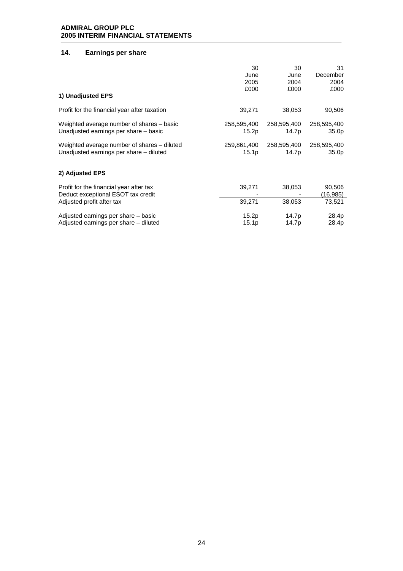# **14. Earnings per share**

| 1) Unadjusted EPS                                                             | 30                | 30          | 31                 |
|-------------------------------------------------------------------------------|-------------------|-------------|--------------------|
|                                                                               | June              | June        | December           |
|                                                                               | 2005              | 2004        | 2004               |
|                                                                               | £000              | £000        | £000               |
| Profit for the financial year after taxation                                  | 39,271            | 38,053      | 90,506             |
| Weighted average number of shares – basic                                     | 258,595,400       | 258,595,400 | 258,595,400        |
| Unadjusted earnings per share – basic                                         | 15.2p             | 14.7p       | 35.0 <sub>p</sub>  |
| Weighted average number of shares – diluted                                   | 259,861,400       | 258,595,400 | 258,595,400        |
| Unadjusted earnings per share - diluted                                       | 15.1p             | 14.7p       | 35.0p              |
| 2) Adjusted EPS                                                               |                   |             |                    |
| Profit for the financial year after tax<br>Deduct exceptional ESOT tax credit | 39,271            | 38,053      | 90,506<br>(16,985) |
| Adjusted profit after tax                                                     | 39,271            | 38,053      | 73,521             |
| Adjusted earnings per share - basic                                           | 15.2p             | 14.7p       | 28.4p              |
| Adjusted earnings per share – diluted                                         | 15.1 <sub>p</sub> | 14.7p       | 28.4p              |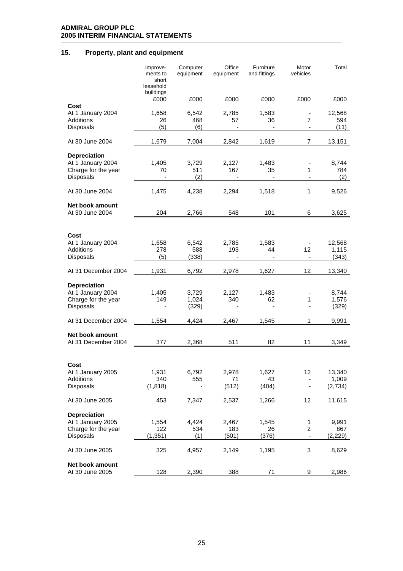# **15. Property, plant and equipment**

|                                                                              | Improve-<br>ments to<br>short<br>leasehold | Computer<br>equipment   | Office<br>equipment   | Furniture<br>and fittings | Motor<br>vehicles              | Total                      |
|------------------------------------------------------------------------------|--------------------------------------------|-------------------------|-----------------------|---------------------------|--------------------------------|----------------------------|
|                                                                              | buildings<br>£000                          | £000                    | £000                  | £000                      | £000                           | £000                       |
| Cost<br>At 1 January 2004<br><b>Additions</b><br>Disposals                   | 1,658<br>26<br>(5)                         | 6,542<br>468<br>(6)     | 2,785<br>57           | 1,583<br>36               | $\overline{7}$                 | 12,568<br>594<br>(11)      |
| At 30 June 2004                                                              | 1,679                                      | 7,004                   | 2,842                 | 1,619                     | 7                              | 13,151                     |
| <b>Depreciation</b><br>At 1 January 2004<br>Charge for the year<br>Disposals | 1,405<br>70<br>$\blacksquare$              | 3,729<br>511<br>(2)     | 2,127<br>167          | 1,483<br>35               | 1                              | 8,744<br>784<br>(2)        |
| At 30 June 2004                                                              | 1,475                                      | 4,238                   | 2,294                 | 1,518                     | 1                              | 9,526                      |
| Net book amount<br>At 30 June 2004                                           | 204                                        | 2,766                   | 548                   | 101                       | 6                              | 3,625                      |
| Cost<br>At 1 January 2004<br><b>Additions</b><br>Disposals                   | 1,658<br>278<br>(5)                        | 6,542<br>588<br>(338)   | 2,785<br>193          | 1,583<br>44<br>÷,         | 12<br>$\overline{\phantom{a}}$ | 12,568<br>1,115<br>(343)   |
| At 31 December 2004                                                          | 1,931                                      | 6,792                   | 2,978                 | 1,627                     | 12                             | 13,340                     |
| <b>Depreciation</b><br>At 1 January 2004<br>Charge for the year<br>Disposals | 1,405<br>149                               | 3,729<br>1,024<br>(329) | 2,127<br>340          | 1,483<br>62               | 1                              | 8,744<br>1,576<br>(329)    |
| At 31 December 2004                                                          | 1,554                                      | 4,424                   | 2,467                 | 1,545                     | 1                              | 9,991                      |
| Net book amount<br>At 31 December 2004                                       | 377                                        | 2,368                   | 511                   | 82                        | 11                             | 3,349                      |
| Cost<br>At 1 January 2005<br>Additions<br>Disposals                          | 1,931<br>340<br>(1, 818)                   | 6,792<br>555            | 2,978<br>71<br>(512)  | 1,627<br>43<br>(404)      | 12                             | 13,340<br>1,009<br>(2,734) |
| At 30 June 2005                                                              | 453                                        | 7,347                   | 2,537                 | 1,266                     | 12                             | 11,615                     |
| <b>Depreciation</b><br>At 1 January 2005<br>Charge for the year<br>Disposals | 1,554<br>122<br>(1, 351)                   | 4,424<br>534<br>(1)     | 2,467<br>183<br>(501) | 1,545<br>26<br>(376)      | $\mathbf 1$<br>$\overline{c}$  | 9,991<br>867<br>(2, 229)   |
| At 30 June 2005                                                              | 325                                        | 4,957                   | 2,149                 | 1,195                     | 3                              | 8,629                      |
| Net book amount<br>At 30 June 2005                                           | 128                                        | 2,390                   | 388                   | 71                        | 9                              | 2,986                      |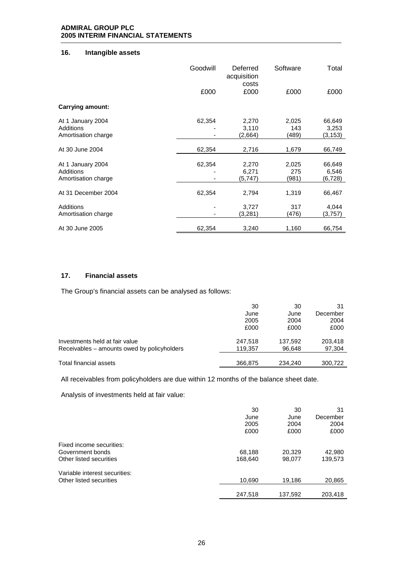# **16. Intangible assets**

|                         | Goodwill | Deferred<br>acquisition<br>costs | Software | Total    |
|-------------------------|----------|----------------------------------|----------|----------|
|                         | £000     | £000                             | £000     | £000     |
| <b>Carrying amount:</b> |          |                                  |          |          |
| At 1 January 2004       | 62,354   | 2,270                            | 2,025    | 66,649   |
| Additions               |          | 3,110                            | 143      | 3,253    |
| Amortisation charge     |          | (2,664)                          | (489)    | (3, 153) |
| At 30 June 2004         | 62,354   | 2,716                            | 1,679    | 66,749   |
|                         |          |                                  |          |          |
| At 1 January 2004       | 62,354   | 2,270                            | 2,025    | 66,649   |
| Additions               |          | 6,271                            | 275      | 6,546    |
| Amortisation charge     |          | (5,747)                          | (981)    | (6, 728) |
| At 31 December 2004     | 62,354   | 2,794                            | 1,319    | 66,467   |
| Additions               |          | 3,727                            | 317      | 4,044    |
| Amortisation charge     |          | (3,281)                          | (476)    | (3,757)  |
|                         |          |                                  |          |          |
| At 30 June 2005         | 62,354   | 3,240                            | 1,160    | 66,754   |

# **17. Financial assets**

The Group's financial assets can be analysed as follows:

|                                             | 30      | 30      | 31       |
|---------------------------------------------|---------|---------|----------|
|                                             | June    | June    | December |
|                                             | 2005    | 2004    | 2004     |
|                                             | £000    | £000    | £000     |
| Investments held at fair value              | 247.518 | 137,592 | 203,418  |
| Receivables – amounts owed by policyholders | 119,357 | 96,648  | 97,304   |
| Total financial assets                      | 366,875 | 234.240 | 300.722  |

All receivables from policyholders are due within 12 months of the balance sheet date.

Analysis of investments held at fair value:

|                                                                         | 30<br>June<br>2005<br>£000 | 30<br>June<br>2004<br>£000 | 31<br>December<br>2004<br>£000 |
|-------------------------------------------------------------------------|----------------------------|----------------------------|--------------------------------|
| Fixed income securities:<br>Government bonds<br>Other listed securities | 68,188<br>168,640          | 20,329<br>98,077           | 42,980<br>139,573              |
| Variable interest securities:<br>Other listed securities                | 10,690                     | 19,186                     | 20,865                         |
|                                                                         | 247,518                    | 137,592                    | 203,418                        |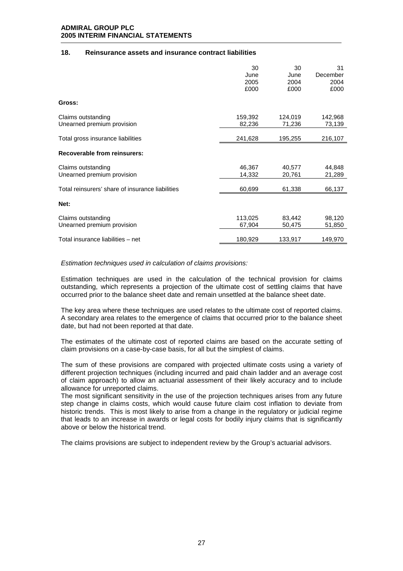#### **18. Reinsurance assets and insurance contract liabilities**

|                                                  | 30<br>June<br>2005<br>£000 | 30<br>June<br>2004<br>£000 | 31<br>December<br>2004<br>£000 |
|--------------------------------------------------|----------------------------|----------------------------|--------------------------------|
| Gross:                                           |                            |                            |                                |
| Claims outstanding<br>Unearned premium provision | 159,392<br>82,236          | 124,019<br>71,236          | 142,968<br>73,139              |
| Total gross insurance liabilities                | 241,628                    | 195,255                    | 216,107                        |
| <b>Recoverable from reinsurers:</b>              |                            |                            |                                |
| Claims outstanding<br>Unearned premium provision | 46,367<br>14,332           | 40,577<br>20,761           | 44,848<br>21,289               |
| Total reinsurers' share of insurance liabilities | 60,699                     | 61,338                     | 66,137                         |
| Net:                                             |                            |                            |                                |
| Claims outstanding<br>Unearned premium provision | 113,025<br>67,904          | 83,442<br>50,475           | 98,120<br>51,850               |
| Total insurance liabilities - net                | 180,929                    | 133,917                    | 149,970                        |

#### *Estimation techniques used in calculation of claims provisions:*

Estimation techniques are used in the calculation of the technical provision for claims outstanding, which represents a projection of the ultimate cost of settling claims that have occurred prior to the balance sheet date and remain unsettled at the balance sheet date.

The key area where these techniques are used relates to the ultimate cost of reported claims. A secondary area relates to the emergence of claims that occurred prior to the balance sheet date, but had not been reported at that date.

The estimates of the ultimate cost of reported claims are based on the accurate setting of claim provisions on a case-by-case basis, for all but the simplest of claims.

The sum of these provisions are compared with projected ultimate costs using a variety of different projection techniques (including incurred and paid chain ladder and an average cost of claim approach) to allow an actuarial assessment of their likely accuracy and to include allowance for unreported claims.

The most significant sensitivity in the use of the projection techniques arises from any future step change in claims costs, which would cause future claim cost inflation to deviate from historic trends. This is most likely to arise from a change in the regulatory or judicial regime that leads to an increase in awards or legal costs for bodily injury claims that is significantly above or below the historical trend.

The claims provisions are subject to independent review by the Group's actuarial advisors.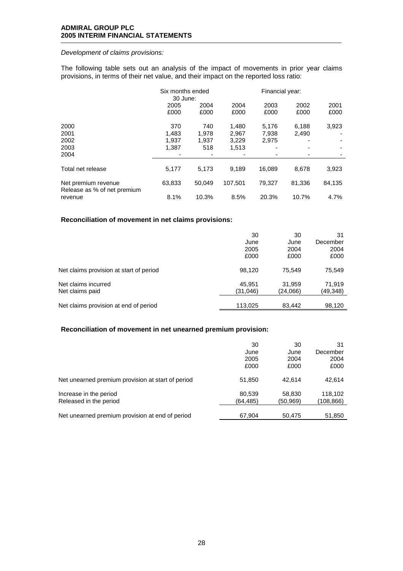### *Development of claims provisions:*

The following table sets out an analysis of the impact of movements in prior year claims provisions, in terms of their net value, and their impact on the reported loss ratio:

|                                                    | Six months ended<br>30 June: |              |              | Financial year: |              |              |
|----------------------------------------------------|------------------------------|--------------|--------------|-----------------|--------------|--------------|
|                                                    | 2005<br>£000                 | 2004<br>£000 | 2004<br>£000 | 2003<br>£000    | 2002<br>£000 | 2001<br>£000 |
| 2000                                               | 370                          | 740          | 1,480        | 5,176           | 6,188        | 3,923        |
| 2001                                               | 1.483                        | 1.978        | 2.967        | 7,938           | 2,490        |              |
| 2002                                               | 1.937                        | 1.937        | 3,229        | 2,975           |              |              |
| 2003                                               | 1,387                        | 518          | 1,513        |                 |              |              |
| 2004                                               |                              |              |              |                 |              |              |
| Total net release                                  | 5,177                        | 5,173        | 9,189        | 16,089          | 8,678        | 3,923        |
| Net premium revenue<br>Release as % of net premium | 63,833                       | 50.049       | 107.501      | 79,327          | 81,336       | 84,135       |
| revenue                                            | 8.1%                         | 10.3%        | 8.5%         | 20.3%           | 10.7%        | 4.7%         |

## **Reconciliation of movement in net claims provisions:**

|                                         | 30       | 30       | 31       |
|-----------------------------------------|----------|----------|----------|
|                                         | June     | June     | December |
|                                         | 2005     | 2004     | 2004     |
|                                         | £000     | £000     | £000     |
| Net claims provision at start of period | 98.120   | 75.549   | 75,549   |
| Net claims incurred                     | 45.951   | 31,959   | 71.919   |
| Net claims paid                         | (31,046) | (24,066) | (49,348) |
| Net claims provision at end of period   | 113,025  | 83,442   | 98,120   |

#### **Reconciliation of movement in net unearned premium provision:**

|                                                   | 30        | 30       | 31        |
|---------------------------------------------------|-----------|----------|-----------|
|                                                   | June      | June     | December  |
|                                                   | 2005      | 2004     | 2004      |
|                                                   | £000      | £000     | £000      |
| Net unearned premium provision at start of period | 51,850    | 42.614   | 42.614    |
| Increase in the period                            | 80,539    | 58,830   | 118,102   |
| Released in the period                            | (64, 485) | (50,969) | (108,866) |
|                                                   |           |          |           |
| Net unearned premium provision at end of period   | 67.904    | 50.475   | 51,850    |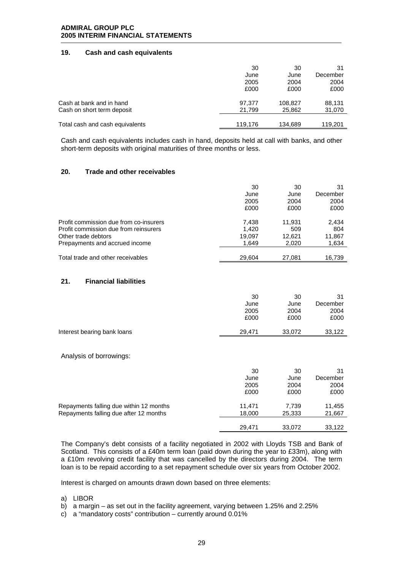#### **19. Cash and cash equivalents**

|                                 | 30      | 30      | 31       |
|---------------------------------|---------|---------|----------|
|                                 | June    | June    | December |
|                                 | 2005    | 2004    | 2004     |
|                                 | £000    | £000    | £000     |
| Cash at bank and in hand        | 97.377  | 108.827 | 88,131   |
| Cash on short term deposit      | 21.799  | 25,862  | 31,070   |
|                                 |         |         |          |
| Total cash and cash equivalents | 119,176 | 134,689 | 119,201  |

Cash and cash equivalents includes cash in hand, deposits held at call with banks, and other short-term deposits with original maturities of three months or less.

#### **20. Trade and other receivables**

|                                        | 30     | 30     | 31       |
|----------------------------------------|--------|--------|----------|
|                                        | June   | June   | December |
|                                        | 2005   | 2004   | 2004     |
|                                        | £000   | £000   | £000     |
| Profit commission due from co-insurers | 7.438  | 11,931 | 2,434    |
| Profit commission due from reinsurers  | 1.420  | 509    | 804      |
| Other trade debtors                    | 19,097 | 12.621 | 11,867   |
| Prepayments and accrued income         | 1,649  | 2,020  | 1,634    |
|                                        |        |        |          |
| Total trade and other receivables      | 29.604 | 27.081 | 16.739   |

#### **21. Financial liabilities**

|                             | 30     | 30     | 31       |
|-----------------------------|--------|--------|----------|
|                             | June   | June   | December |
|                             | 2005   | 2004   | 2004     |
|                             | £000   | £000   | £000     |
| Interest bearing bank loans | 29.471 | 33.072 | 33.122   |
|                             |        |        |          |

Analysis of borrowings:

|                                         | 30     | 30     | 31       |
|-----------------------------------------|--------|--------|----------|
|                                         | June   | June   | December |
|                                         | 2005   | 2004   | 2004     |
|                                         | £000   | £000   | £000     |
| Repayments falling due within 12 months | 11.471 | 7.739  | 11,455   |
| Repayments falling due after 12 months  | 18,000 | 25,333 | 21,667   |
|                                         |        |        |          |
|                                         | 29.471 | 33.072 | 33.122   |

The Company's debt consists of a facility negotiated in 2002 with Lloyds TSB and Bank of Scotland. This consists of a £40m term loan (paid down during the year to £33m), along with a £10m revolving credit facility that was cancelled by the directors during 2004. The term loan is to be repaid according to a set repayment schedule over six years from October 2002.

Interest is charged on amounts drawn down based on three elements:

- a) LIBOR
- b) a margin as set out in the facility agreement, varying between 1.25% and 2.25%
- c) a "mandatory costs" contribution currently around 0.01%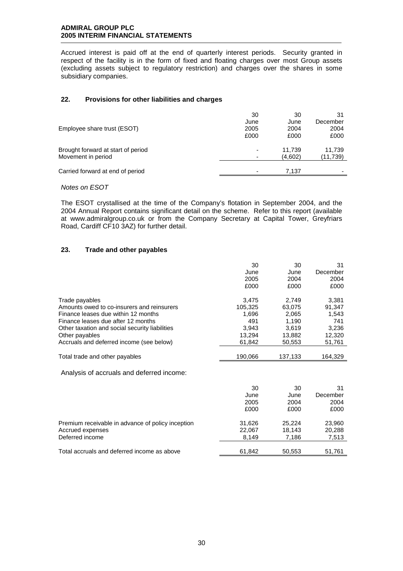Accrued interest is paid off at the end of quarterly interest periods. Security granted in respect of the facility is in the form of fixed and floating charges over most Group assets (excluding assets subject to regulatory restriction) and charges over the shares in some subsidiary companies.

#### **22. Provisions for other liabilities and charges**

|                                    | 30                       | 30      | 31       |
|------------------------------------|--------------------------|---------|----------|
|                                    | June                     | June    | December |
| Employee share trust (ESOT)        | 2005                     | 2004    | 2004     |
|                                    | £000                     | £000    | £000     |
| Brought forward at start of period | $\overline{\phantom{0}}$ | 11.739  | 11.739   |
| Movement in period                 | -                        | (4,602) | (11,739) |
|                                    |                          |         |          |
| Carried forward at end of period   |                          | 7.137   |          |

*Notes on ESOT* 

The ESOT crystallised at the time of the Company's flotation in September 2004, and the 2004 Annual Report contains significant detail on the scheme. Refer to this report (available at www.admiralgroup.co.uk or from the Company Secretary at Capital Tower, Greyfriars Road, Cardiff CF10 3AZ) for further detail.

#### **23. Trade and other payables**

|                                                   | 30      | 30      | 31       |
|---------------------------------------------------|---------|---------|----------|
|                                                   | June    | June    | December |
|                                                   | 2005    | 2004    | 2004     |
|                                                   | £000    | £000    | £000     |
| Trade payables                                    | 3,475   | 2,749   | 3,381    |
| Amounts owed to co-insurers and reinsurers        | 105,325 | 63,075  | 91,347   |
| Finance leases due within 12 months               | 1,696   | 2,065   | 1,543    |
| Finance leases due after 12 months                | 491     | 1,190   | 741      |
| Other taxation and social security liabilities    | 3,943   | 3,619   | 3,236    |
| Other payables                                    | 13,294  | 13,882  | 12,320   |
| Accruals and deferred income (see below)          | 61,842  | 50,553  | 51,761   |
| Total trade and other payables                    | 190,066 | 137,133 | 164,329  |
| Analysis of accruals and deferred income:         |         |         |          |
|                                                   | 30      | 30      | 31       |
|                                                   | June    | June    | December |
|                                                   | 2005    | 2004    | 2004     |
|                                                   | £000    | £000    | £000     |
| Premium receivable in advance of policy inception | 31,626  | 25,224  | 23,960   |
| Accrued expenses                                  | 22,067  | 18,143  | 20,288   |
| Deferred income                                   | 8,149   | 7,186   | 7,513    |
| Total accruals and deferred income as above       | 61,842  | 50,553  | 51,761   |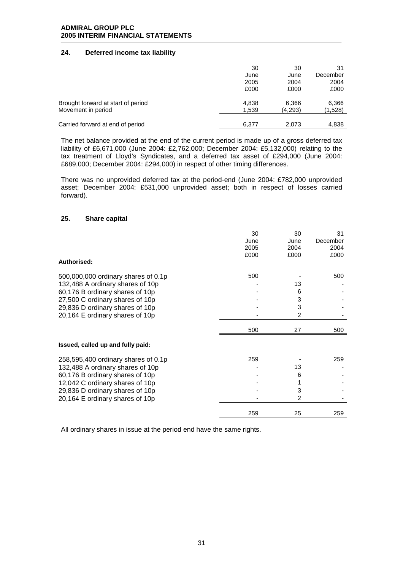# **24. Deferred income tax liability**

|                                    | 30    | 30      | 31       |
|------------------------------------|-------|---------|----------|
|                                    | June  | June    | December |
|                                    | 2005  | 2004    | 2004     |
|                                    | £000  | £000    | £000     |
| Brought forward at start of period | 4.838 | 6.366   | 6,366    |
| Movement in period                 | 1.539 | (4.293) | (1,528)  |
| Carried forward at end of period   | 6.377 | 2.073   | 4.838    |

The net balance provided at the end of the current period is made up of a gross deferred tax liability of £6,671,000 (June 2004: £2,762,000; December 2004: £5,132,000) relating to the tax treatment of Lloyd's Syndicates, and a deferred tax asset of £294,000 (June 2004: £689,000; December 2004: £294,000) in respect of other timing differences.

There was no unprovided deferred tax at the period-end (June 2004: £782,000 unprovided asset; December 2004: £531,000 unprovided asset; both in respect of losses carried forward).

#### **25. Share capital**

| 30   | 30             | 31       |
|------|----------------|----------|
| June | June           | December |
| 2005 | 2004           | 2004     |
| £000 | £000           | £000     |
|      |                |          |
| 500  |                | 500      |
|      | 13             |          |
|      | 6              |          |
|      | 3              |          |
|      | 3              |          |
|      | $\overline{2}$ |          |
| 500  | 27             | 500      |
|      |                |          |
| 259  |                | 259      |
|      | 13             |          |
|      | 6              |          |
|      |                |          |
|      | 3              |          |
|      | $\overline{2}$ |          |
| 259  | 25             | 259      |
|      |                |          |

All ordinary shares in issue at the period end have the same rights.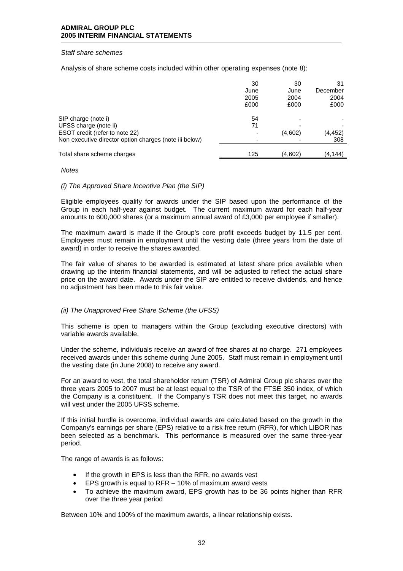#### *Staff share schemes*

Analysis of share scheme costs included within other operating expenses (note 8):

|                                                                                          | 30<br>June<br>2005<br>£000 | 30<br>June<br>2004<br>£000 | 31<br>December<br>2004<br>£000 |
|------------------------------------------------------------------------------------------|----------------------------|----------------------------|--------------------------------|
| SIP charge (note i)                                                                      | 54                         | -                          |                                |
| UFSS charge (note ii)                                                                    | 71                         |                            |                                |
| ESOT credit (refer to note 22)<br>Non executive director option charges (note iii below) | -                          | (4,602)                    | (4,452)<br>308                 |
| Total share scheme charges                                                               | 125                        | (4,602)                    | (4,144)                        |

#### *Notes*

#### *(i) The Approved Share Incentive Plan (the SIP)*

Eligible employees qualify for awards under the SIP based upon the performance of the Group in each half-year against budget. The current maximum award for each half-year amounts to 600,000 shares (or a maximum annual award of £3,000 per employee if smaller).

The maximum award is made if the Group's core profit exceeds budget by 11.5 per cent. Employees must remain in employment until the vesting date (three years from the date of award) in order to receive the shares awarded.

The fair value of shares to be awarded is estimated at latest share price available when drawing up the interim financial statements, and will be adjusted to reflect the actual share price on the award date. Awards under the SIP are entitled to receive dividends, and hence no adjustment has been made to this fair value.

#### *(ii) The Unapproved Free Share Scheme (the UFSS)*

This scheme is open to managers within the Group (excluding executive directors) with variable awards available.

Under the scheme, individuals receive an award of free shares at no charge. 271 employees received awards under this scheme during June 2005. Staff must remain in employment until the vesting date (in June 2008) to receive any award.

For an award to vest, the total shareholder return (TSR) of Admiral Group plc shares over the three years 2005 to 2007 must be at least equal to the TSR of the FTSE 350 index, of which the Company is a constituent. If the Company's TSR does not meet this target, no awards will vest under the 2005 UFSS scheme.

If this initial hurdle is overcome, individual awards are calculated based on the growth in the Company's earnings per share (EPS) relative to a risk free return (RFR), for which LIBOR has been selected as a benchmark. This performance is measured over the same three-year period.

The range of awards is as follows:

- If the growth in EPS is less than the RFR, no awards vest
- EPS growth is equal to  $RFR 10\%$  of maximum award vests
- To achieve the maximum award, EPS growth has to be 36 points higher than RFR over the three year period

Between 10% and 100% of the maximum awards, a linear relationship exists.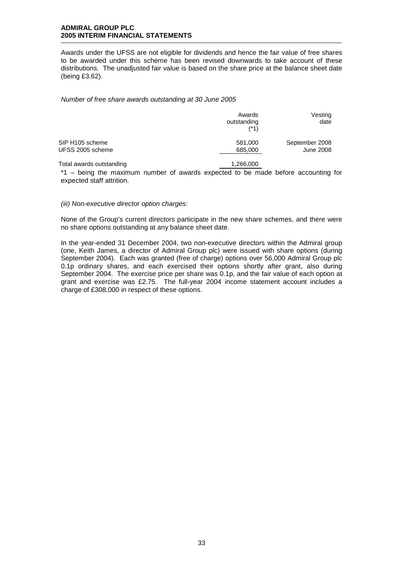Awards under the UFSS are not eligible for dividends and hence the fair value of free shares to be awarded under this scheme has been revised downwards to take account of these distributions. The unadjusted fair value is based on the share price at the balance sheet date (being £3.62).

*Number of free share awards outstanding at 30 June 2005* 

|                          | Awards<br>outstanding<br>$(*1)$ | Vesting<br>date |
|--------------------------|---------------------------------|-----------------|
| SIP H105 scheme          | 581,000                         | September 2008  |
| UFSS 2005 scheme         | 685,000                         | June 2008       |
| Tatal awarda awatan dina | 1.000.000                       |                 |

Total awards outstanding 1,266,000

\*1 – being the maximum number of awards expected to be made before accounting for expected staff attrition.

#### *(iii) Non-executive director option charges:*

None of the Group's current directors participate in the new share schemes, and there were no share options outstanding at any balance sheet date.

In the year-ended 31 December 2004, two non-executive directors within the Admiral group (one, Keith James, a director of Admiral Group plc) were issued with share options (during September 2004). Each was granted (free of charge) options over 56,000 Admiral Group plc 0.1p ordinary shares, and each exercised their options shortly after grant, also during September 2004. The exercise price per share was 0.1p, and the fair value of each option at grant and exercise was £2.75. The full-year 2004 income statement account includes a charge of £308,000 in respect of these options.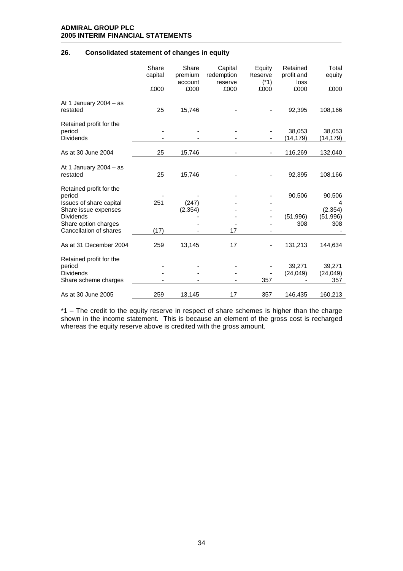# **26. Consolidated statement of changes in equity**

|                                                              | Share<br>capital<br>£000 | Share<br>premium<br>account<br>£000 | Capital<br>redemption<br>reserve<br>£000 | Equity<br>Reserve<br>$(*1)$<br>£000 | Retained<br>profit and<br>loss<br>£000 | Total<br>equity<br>£000 |
|--------------------------------------------------------------|--------------------------|-------------------------------------|------------------------------------------|-------------------------------------|----------------------------------------|-------------------------|
| At 1 January 2004 $-$ as<br>restated                         | 25                       | 15,746                              |                                          |                                     | 92,395                                 | 108,166                 |
| Retained profit for the<br>period<br><b>Dividends</b>        |                          |                                     |                                          |                                     | 38,053<br>(14,179)                     | 38,053<br>(14,179)      |
| As at 30 June 2004                                           | 25                       | 15,746                              |                                          |                                     | 116,269                                | 132,040                 |
| At 1 January 2004 $-$ as<br>restated                         | 25                       | 15,746                              |                                          |                                     | 92,395                                 | 108,166                 |
| Retained profit for the<br>period<br>Issues of share capital | 251                      | (247)                               |                                          |                                     | 90,506                                 | 90,506<br>4             |
| Share issue expenses<br><b>Dividends</b>                     |                          | (2, 354)                            |                                          |                                     | (51, 996)                              | (2, 354)<br>(51, 996)   |
| Share option charges<br>Cancellation of shares               | (17)                     |                                     | 17                                       |                                     | 308                                    | 308                     |
| As at 31 December 2004                                       | 259                      | 13,145                              | 17                                       |                                     | 131,213                                | 144,634                 |
| Retained profit for the<br>period                            |                          |                                     |                                          |                                     | 39,271                                 | 39,271                  |
| <b>Dividends</b><br>Share scheme charges                     |                          |                                     |                                          | 357                                 | (24, 049)                              | (24, 049)<br>357        |
| As at 30 June 2005                                           | 259                      | 13,145                              | 17                                       | 357                                 | 146,435                                | 160,213                 |

\*1 – The credit to the equity reserve in respect of share schemes is higher than the charge shown in the income statement. This is because an element of the gross cost is recharged whereas the equity reserve above is credited with the gross amount.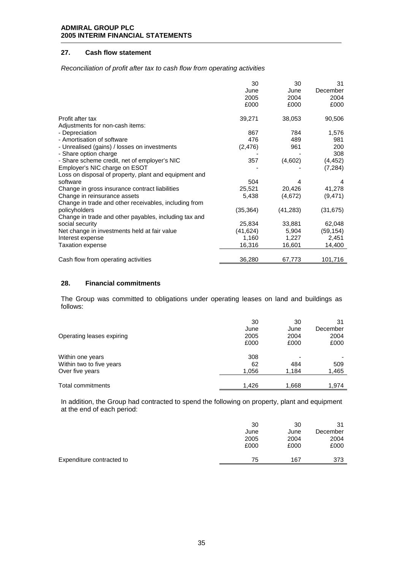# **27. Cash flow statement**

*Reconciliation of profit after tax to cash flow from operating activities* 

|                                                       | 30        | 30        | 31        |
|-------------------------------------------------------|-----------|-----------|-----------|
|                                                       | June      | June      | December  |
|                                                       | 2005      | 2004      | 2004      |
|                                                       | £000      | £000      | £000      |
| Profit after tax                                      | 39,271    | 38,053    | 90,506    |
| Adjustments for non-cash items:                       |           |           |           |
| - Depreciation                                        | 867       | 784       | 1,576     |
| - Amortisation of software                            | 476       | 489       | 981       |
| - Unrealised (gains) / losses on investments          | (2, 476)  | 961       | 200       |
| - Share option charge                                 |           |           | 308       |
| - Share scheme credit, net of employer's NIC          | 357       | (4,602)   | (4, 452)  |
| Employer's NIC charge on ESOT                         |           |           | (7, 284)  |
| Loss on disposal of property, plant and equipment and |           |           |           |
| software                                              | 504       | 4         | 4         |
| Change in gross insurance contract liabilities        | 25,521    | 20,426    | 41,278    |
| Change in reinsurance assets                          | 5,438     | (4,672)   | (9, 471)  |
| Change in trade and other receivables, including from |           |           |           |
| policyholders                                         | (35, 364) | (41, 283) | (31, 675) |
| Change in trade and other payables, including tax and |           |           |           |
| social security                                       | 25,834    | 33,881    | 62,048    |
| Net change in investments held at fair value          | (41, 624) | 5,904     | (59, 154) |
| Interest expense                                      | 1,160     | 1,227     | 2,451     |
| Taxation expense                                      | 16,316    | 16,601    | 14,400    |
|                                                       |           |           |           |
| Cash flow from operating activities                   | 36,280    | 67,773    | 101,716   |

#### **28. Financial commitments**

The Group was committed to obligations under operating leases on land and buildings as follows:

| Operating leases expiring | 30<br>June<br>2005<br>£000 | 30<br>June<br>2004<br>£000 | 31<br>December<br>2004<br>£000 |
|---------------------------|----------------------------|----------------------------|--------------------------------|
| Within one years          | 308                        |                            |                                |
| Within two to five years  | 62                         | 484                        | 509                            |
| Over five years           | 1,056                      | 1.184                      | 1,465                          |
| Total commitments         | 1.426                      | 1,668                      | 1.974                          |

In addition, the Group had contracted to spend the following on property, plant and equipment at the end of each period:

|                           | 30<br>June<br>2005<br>£000 | 30<br>June<br>2004<br>£000 | 31<br>December<br>2004<br>£000 |
|---------------------------|----------------------------|----------------------------|--------------------------------|
| Expenditure contracted to | 75                         | 167                        | 373                            |
|                           |                            |                            |                                |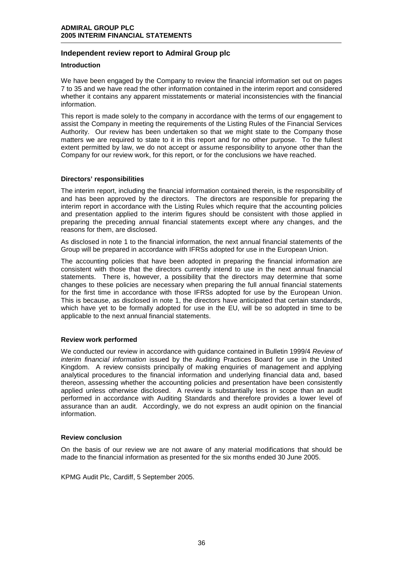# **Independent review report to Admiral Group plc**

#### **Introduction**

We have been engaged by the Company to review the financial information set out on pages 7 to 35 and we have read the other information contained in the interim report and considered whether it contains any apparent misstatements or material inconsistencies with the financial information.

This report is made solely to the company in accordance with the terms of our engagement to assist the Company in meeting the requirements of the Listing Rules of the Financial Services Authority. Our review has been undertaken so that we might state to the Company those matters we are required to state to it in this report and for no other purpose. To the fullest extent permitted by law, we do not accept or assume responsibility to anyone other than the Company for our review work, for this report, or for the conclusions we have reached.

#### **Directors' responsibilities**

The interim report, including the financial information contained therein, is the responsibility of and has been approved by the directors. The directors are responsible for preparing the interim report in accordance with the Listing Rules which require that the accounting policies and presentation applied to the interim figures should be consistent with those applied in preparing the preceding annual financial statements except where any changes, and the reasons for them, are disclosed.

As disclosed in note 1 to the financial information, the next annual financial statements of the Group will be prepared in accordance with IFRSs adopted for use in the European Union.

The accounting policies that have been adopted in preparing the financial information are consistent with those that the directors currently intend to use in the next annual financial statements. There is, however, a possibility that the directors may determine that some changes to these policies are necessary when preparing the full annual financial statements for the first time in accordance with those IFRSs adopted for use by the European Union. This is because, as disclosed in note 1, the directors have anticipated that certain standards, which have yet to be formally adopted for use in the EU, will be so adopted in time to be applicable to the next annual financial statements.

## **Review work performed**

We conducted our review in accordance with guidance contained in Bulletin 1999/4 *Review of interim financial information* issued by the Auditing Practices Board for use in the United Kingdom. A review consists principally of making enquiries of management and applying analytical procedures to the financial information and underlying financial data and, based thereon, assessing whether the accounting policies and presentation have been consistently applied unless otherwise disclosed. A review is substantially less in scope than an audit performed in accordance with Auditing Standards and therefore provides a lower level of assurance than an audit. Accordingly, we do not express an audit opinion on the financial information.

#### **Review conclusion**

On the basis of our review we are not aware of any material modifications that should be made to the financial information as presented for the six months ended 30 June 2005.

KPMG Audit Plc, Cardiff, 5 September 2005.